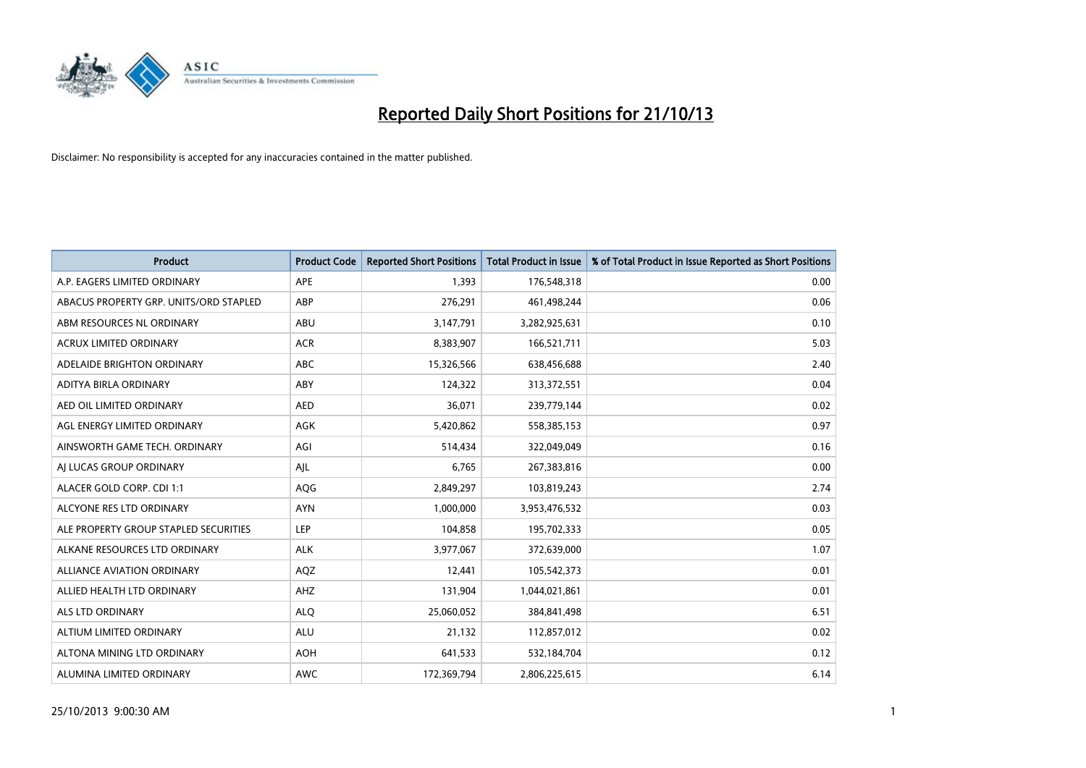

| <b>Product</b>                         | <b>Product Code</b> | <b>Reported Short Positions</b> | <b>Total Product in Issue</b> | % of Total Product in Issue Reported as Short Positions |
|----------------------------------------|---------------------|---------------------------------|-------------------------------|---------------------------------------------------------|
| A.P. EAGERS LIMITED ORDINARY           | <b>APE</b>          | 1,393                           | 176,548,318                   | 0.00                                                    |
| ABACUS PROPERTY GRP. UNITS/ORD STAPLED | ABP                 | 276,291                         | 461,498,244                   | 0.06                                                    |
| ABM RESOURCES NL ORDINARY              | ABU                 | 3,147,791                       | 3,282,925,631                 | 0.10                                                    |
| <b>ACRUX LIMITED ORDINARY</b>          | <b>ACR</b>          | 8,383,907                       | 166,521,711                   | 5.03                                                    |
| ADELAIDE BRIGHTON ORDINARY             | <b>ABC</b>          | 15,326,566                      | 638,456,688                   | 2.40                                                    |
| ADITYA BIRLA ORDINARY                  | ABY                 | 124,322                         | 313,372,551                   | 0.04                                                    |
| AED OIL LIMITED ORDINARY               | <b>AED</b>          | 36,071                          | 239,779,144                   | 0.02                                                    |
| AGL ENERGY LIMITED ORDINARY            | AGK                 | 5,420,862                       | 558,385,153                   | 0.97                                                    |
| AINSWORTH GAME TECH. ORDINARY          | AGI                 | 514,434                         | 322,049,049                   | 0.16                                                    |
| AI LUCAS GROUP ORDINARY                | AJL                 | 6,765                           | 267,383,816                   | 0.00                                                    |
| ALACER GOLD CORP. CDI 1:1              | AQG                 | 2,849,297                       | 103,819,243                   | 2.74                                                    |
| ALCYONE RES LTD ORDINARY               | <b>AYN</b>          | 1,000,000                       | 3,953,476,532                 | 0.03                                                    |
| ALE PROPERTY GROUP STAPLED SECURITIES  | <b>LEP</b>          | 104,858                         | 195,702,333                   | 0.05                                                    |
| ALKANE RESOURCES LTD ORDINARY          | <b>ALK</b>          | 3,977,067                       | 372,639,000                   | 1.07                                                    |
| <b>ALLIANCE AVIATION ORDINARY</b>      | AQZ                 | 12,441                          | 105,542,373                   | 0.01                                                    |
| ALLIED HEALTH LTD ORDINARY             | <b>AHZ</b>          | 131,904                         | 1,044,021,861                 | 0.01                                                    |
| ALS LTD ORDINARY                       | <b>ALQ</b>          | 25,060,052                      | 384, 841, 498                 | 6.51                                                    |
| ALTIUM LIMITED ORDINARY                | <b>ALU</b>          | 21,132                          | 112,857,012                   | 0.02                                                    |
| ALTONA MINING LTD ORDINARY             | <b>AOH</b>          | 641,533                         | 532,184,704                   | 0.12                                                    |
| ALUMINA LIMITED ORDINARY               | <b>AWC</b>          | 172,369,794                     | 2,806,225,615                 | 6.14                                                    |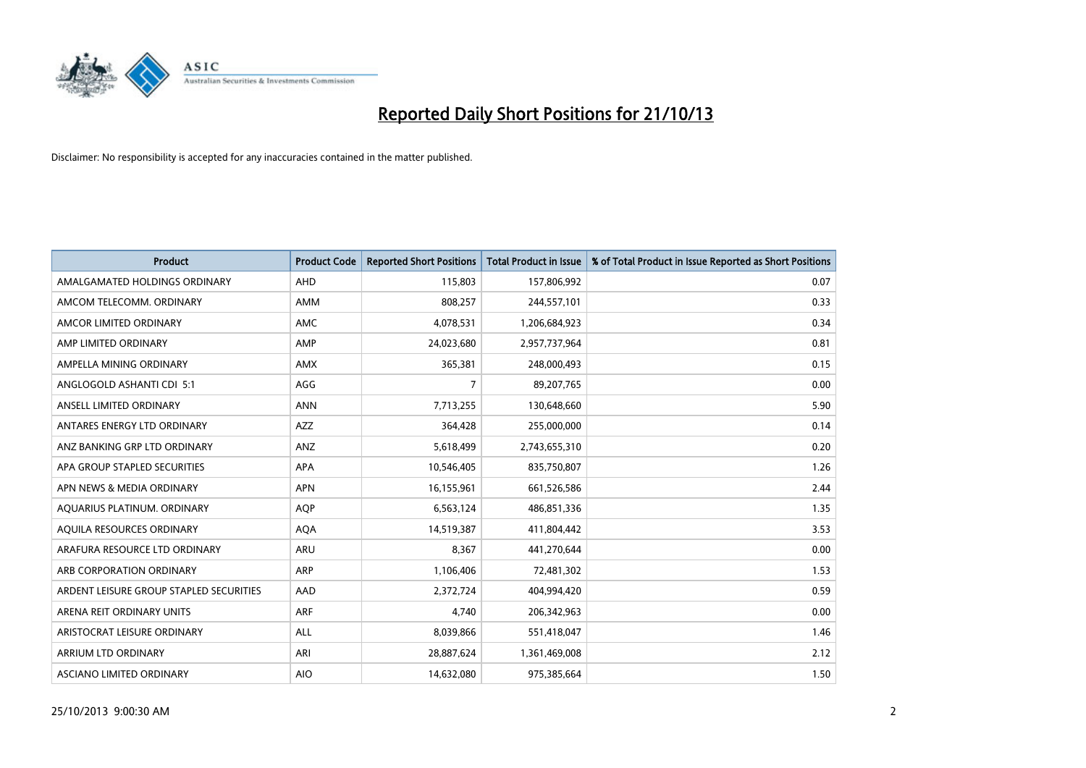

| <b>Product</b>                          | <b>Product Code</b> | <b>Reported Short Positions</b> | <b>Total Product in Issue</b> | % of Total Product in Issue Reported as Short Positions |
|-----------------------------------------|---------------------|---------------------------------|-------------------------------|---------------------------------------------------------|
| AMALGAMATED HOLDINGS ORDINARY           | AHD                 | 115,803                         | 157,806,992                   | 0.07                                                    |
| AMCOM TELECOMM. ORDINARY                | AMM                 | 808,257                         | 244,557,101                   | 0.33                                                    |
| AMCOR LIMITED ORDINARY                  | AMC                 | 4,078,531                       | 1,206,684,923                 | 0.34                                                    |
| AMP LIMITED ORDINARY                    | AMP                 | 24,023,680                      | 2,957,737,964                 | 0.81                                                    |
| AMPELLA MINING ORDINARY                 | <b>AMX</b>          | 365,381                         | 248,000,493                   | 0.15                                                    |
| ANGLOGOLD ASHANTI CDI 5:1               | AGG                 | 7                               | 89,207,765                    | 0.00                                                    |
| ANSELL LIMITED ORDINARY                 | <b>ANN</b>          | 7,713,255                       | 130,648,660                   | 5.90                                                    |
| ANTARES ENERGY LTD ORDINARY             | AZZ                 | 364,428                         | 255,000,000                   | 0.14                                                    |
| ANZ BANKING GRP LTD ORDINARY            | ANZ                 | 5,618,499                       | 2,743,655,310                 | 0.20                                                    |
| APA GROUP STAPLED SECURITIES            | <b>APA</b>          | 10,546,405                      | 835,750,807                   | 1.26                                                    |
| APN NEWS & MEDIA ORDINARY               | <b>APN</b>          | 16,155,961                      | 661,526,586                   | 2.44                                                    |
| AQUARIUS PLATINUM. ORDINARY             | <b>AQP</b>          | 6,563,124                       | 486,851,336                   | 1.35                                                    |
| AQUILA RESOURCES ORDINARY               | <b>AQA</b>          | 14,519,387                      | 411,804,442                   | 3.53                                                    |
| ARAFURA RESOURCE LTD ORDINARY           | ARU                 | 8,367                           | 441,270,644                   | 0.00                                                    |
| ARB CORPORATION ORDINARY                | <b>ARP</b>          | 1,106,406                       | 72,481,302                    | 1.53                                                    |
| ARDENT LEISURE GROUP STAPLED SECURITIES | AAD                 | 2,372,724                       | 404,994,420                   | 0.59                                                    |
| ARENA REIT ORDINARY UNITS               | ARF                 | 4,740                           | 206,342,963                   | 0.00                                                    |
| ARISTOCRAT LEISURE ORDINARY             | <b>ALL</b>          | 8,039,866                       | 551,418,047                   | 1.46                                                    |
| ARRIUM LTD ORDINARY                     | ARI                 | 28,887,624                      | 1,361,469,008                 | 2.12                                                    |
| ASCIANO LIMITED ORDINARY                | <b>AIO</b>          | 14,632,080                      | 975,385,664                   | 1.50                                                    |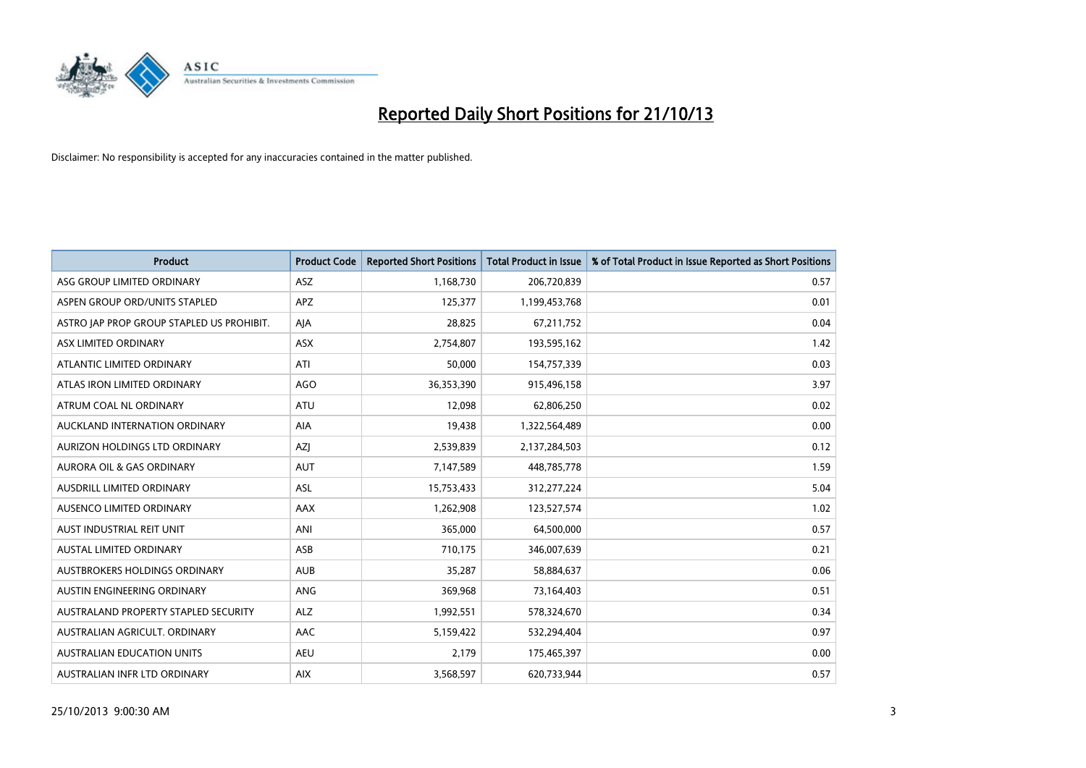

| <b>Product</b>                            | <b>Product Code</b> | <b>Reported Short Positions</b> | <b>Total Product in Issue</b> | % of Total Product in Issue Reported as Short Positions |
|-------------------------------------------|---------------------|---------------------------------|-------------------------------|---------------------------------------------------------|
| ASG GROUP LIMITED ORDINARY                | ASZ                 | 1,168,730                       | 206,720,839                   | 0.57                                                    |
| ASPEN GROUP ORD/UNITS STAPLED             | APZ                 | 125,377                         | 1,199,453,768                 | 0.01                                                    |
| ASTRO JAP PROP GROUP STAPLED US PROHIBIT. | AJA                 | 28,825                          | 67,211,752                    | 0.04                                                    |
| ASX LIMITED ORDINARY                      | ASX                 | 2,754,807                       | 193,595,162                   | 1.42                                                    |
| ATLANTIC LIMITED ORDINARY                 | ATI                 | 50,000                          | 154,757,339                   | 0.03                                                    |
| ATLAS IRON LIMITED ORDINARY               | <b>AGO</b>          | 36,353,390                      | 915,496,158                   | 3.97                                                    |
| ATRUM COAL NL ORDINARY                    | ATU                 | 12,098                          | 62,806,250                    | 0.02                                                    |
| AUCKLAND INTERNATION ORDINARY             | <b>AIA</b>          | 19,438                          | 1,322,564,489                 | 0.00                                                    |
| AURIZON HOLDINGS LTD ORDINARY             | <b>AZI</b>          | 2,539,839                       | 2,137,284,503                 | 0.12                                                    |
| <b>AURORA OIL &amp; GAS ORDINARY</b>      | <b>AUT</b>          | 7,147,589                       | 448,785,778                   | 1.59                                                    |
| AUSDRILL LIMITED ORDINARY                 | ASL                 | 15,753,433                      | 312,277,224                   | 5.04                                                    |
| AUSENCO LIMITED ORDINARY                  | AAX                 | 1,262,908                       | 123,527,574                   | 1.02                                                    |
| AUST INDUSTRIAL REIT UNIT                 | ANI                 | 365,000                         | 64,500,000                    | 0.57                                                    |
| <b>AUSTAL LIMITED ORDINARY</b>            | ASB                 | 710,175                         | 346,007,639                   | 0.21                                                    |
| AUSTBROKERS HOLDINGS ORDINARY             | <b>AUB</b>          | 35,287                          | 58,884,637                    | 0.06                                                    |
| AUSTIN ENGINEERING ORDINARY               | ANG                 | 369,968                         | 73,164,403                    | 0.51                                                    |
| AUSTRALAND PROPERTY STAPLED SECURITY      | <b>ALZ</b>          | 1,992,551                       | 578,324,670                   | 0.34                                                    |
| AUSTRALIAN AGRICULT, ORDINARY             | AAC                 | 5,159,422                       | 532,294,404                   | 0.97                                                    |
| <b>AUSTRALIAN EDUCATION UNITS</b>         | <b>AEU</b>          | 2,179                           | 175,465,397                   | 0.00                                                    |
| AUSTRALIAN INFR LTD ORDINARY              | <b>AIX</b>          | 3,568,597                       | 620,733,944                   | 0.57                                                    |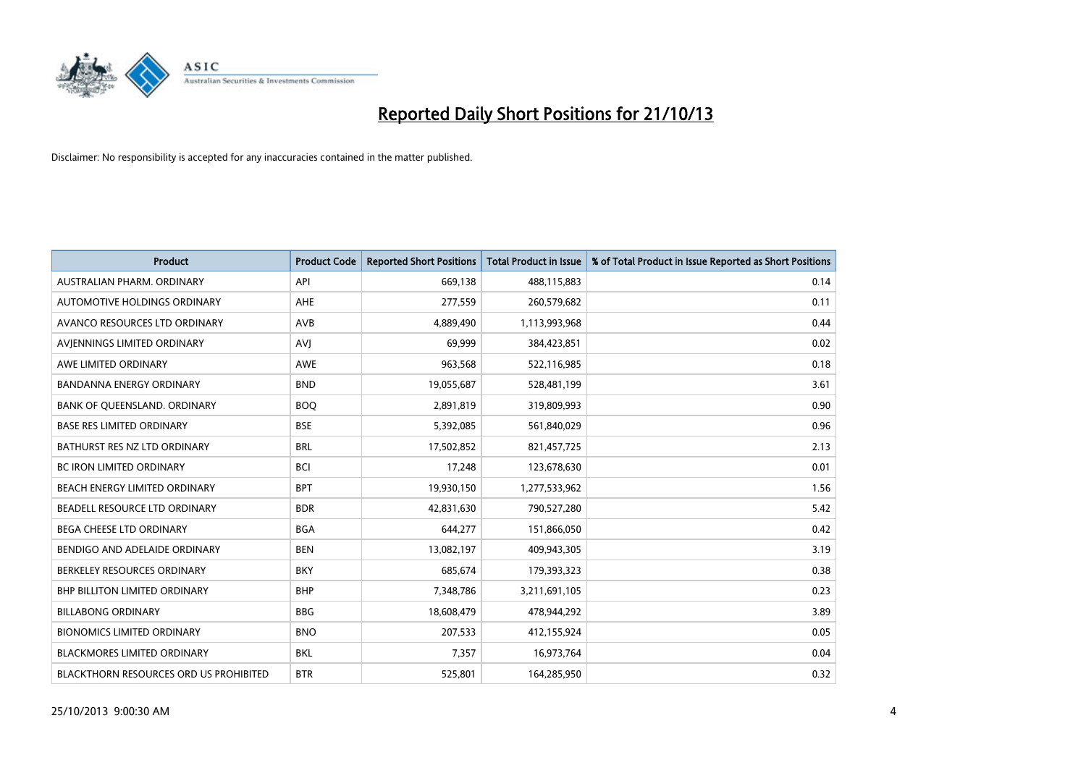

| <b>Product</b>                         | <b>Product Code</b> | <b>Reported Short Positions</b> | <b>Total Product in Issue</b> | % of Total Product in Issue Reported as Short Positions |
|----------------------------------------|---------------------|---------------------------------|-------------------------------|---------------------------------------------------------|
| AUSTRALIAN PHARM, ORDINARY             | API                 | 669,138                         | 488,115,883                   | 0.14                                                    |
| AUTOMOTIVE HOLDINGS ORDINARY           | AHE                 | 277,559                         | 260,579,682                   | 0.11                                                    |
| AVANCO RESOURCES LTD ORDINARY          | AVB                 | 4,889,490                       | 1,113,993,968                 | 0.44                                                    |
| AVJENNINGS LIMITED ORDINARY            | <b>AVJ</b>          | 69,999                          | 384,423,851                   | 0.02                                                    |
| AWE LIMITED ORDINARY                   | <b>AWE</b>          | 963,568                         | 522,116,985                   | 0.18                                                    |
| <b>BANDANNA ENERGY ORDINARY</b>        | <b>BND</b>          | 19,055,687                      | 528,481,199                   | 3.61                                                    |
| BANK OF QUEENSLAND. ORDINARY           | <b>BOO</b>          | 2,891,819                       | 319,809,993                   | 0.90                                                    |
| <b>BASE RES LIMITED ORDINARY</b>       | <b>BSE</b>          | 5,392,085                       | 561,840,029                   | 0.96                                                    |
| BATHURST RES NZ LTD ORDINARY           | <b>BRL</b>          | 17,502,852                      | 821,457,725                   | 2.13                                                    |
| <b>BC IRON LIMITED ORDINARY</b>        | <b>BCI</b>          | 17,248                          | 123,678,630                   | 0.01                                                    |
| BEACH ENERGY LIMITED ORDINARY          | <b>BPT</b>          | 19,930,150                      | 1,277,533,962                 | 1.56                                                    |
| BEADELL RESOURCE LTD ORDINARY          | <b>BDR</b>          | 42,831,630                      | 790,527,280                   | 5.42                                                    |
| <b>BEGA CHEESE LTD ORDINARY</b>        | <b>BGA</b>          | 644,277                         | 151,866,050                   | 0.42                                                    |
| BENDIGO AND ADELAIDE ORDINARY          | <b>BEN</b>          | 13,082,197                      | 409,943,305                   | 3.19                                                    |
| BERKELEY RESOURCES ORDINARY            | <b>BKY</b>          | 685,674                         | 179,393,323                   | 0.38                                                    |
| <b>BHP BILLITON LIMITED ORDINARY</b>   | <b>BHP</b>          | 7,348,786                       | 3,211,691,105                 | 0.23                                                    |
| <b>BILLABONG ORDINARY</b>              | <b>BBG</b>          | 18,608,479                      | 478,944,292                   | 3.89                                                    |
| <b>BIONOMICS LIMITED ORDINARY</b>      | <b>BNO</b>          | 207,533                         | 412,155,924                   | 0.05                                                    |
| <b>BLACKMORES LIMITED ORDINARY</b>     | <b>BKL</b>          | 7,357                           | 16,973,764                    | 0.04                                                    |
| BLACKTHORN RESOURCES ORD US PROHIBITED | <b>BTR</b>          | 525,801                         | 164,285,950                   | 0.32                                                    |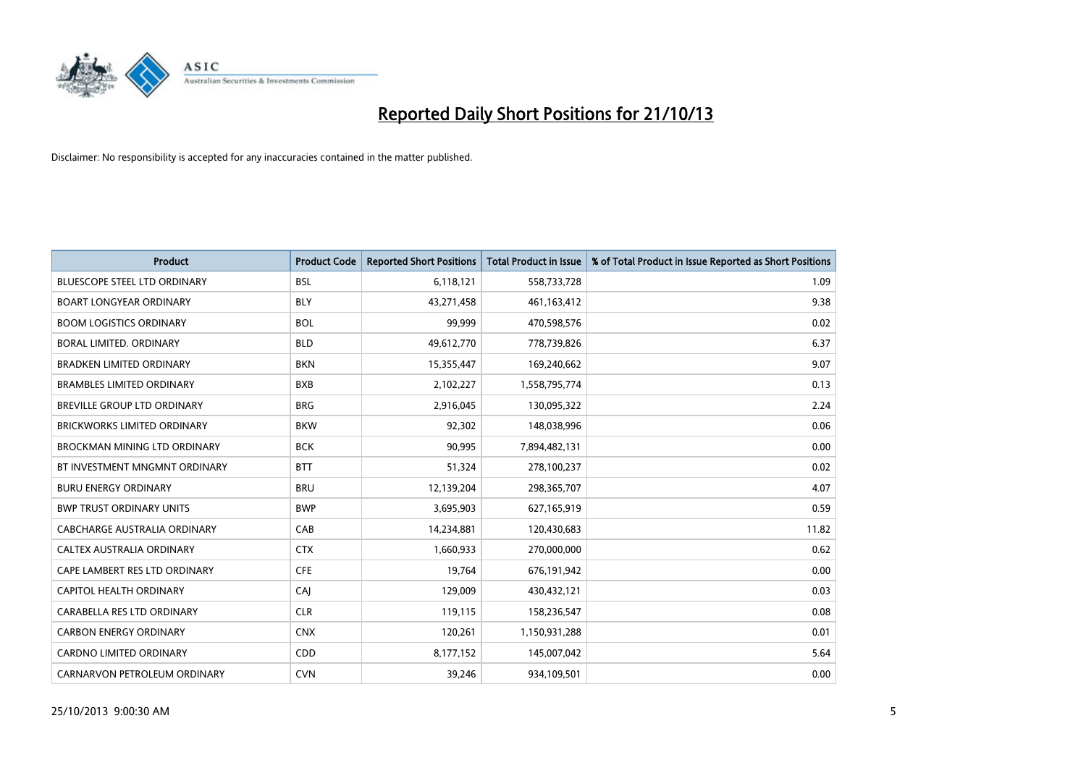

| <b>Product</b>                      | <b>Product Code</b> | <b>Reported Short Positions</b> | <b>Total Product in Issue</b> | % of Total Product in Issue Reported as Short Positions |
|-------------------------------------|---------------------|---------------------------------|-------------------------------|---------------------------------------------------------|
| <b>BLUESCOPE STEEL LTD ORDINARY</b> | <b>BSL</b>          | 6,118,121                       | 558,733,728                   | 1.09                                                    |
| <b>BOART LONGYEAR ORDINARY</b>      | <b>BLY</b>          | 43,271,458                      | 461,163,412                   | 9.38                                                    |
| <b>BOOM LOGISTICS ORDINARY</b>      | <b>BOL</b>          | 99,999                          | 470,598,576                   | 0.02                                                    |
| BORAL LIMITED. ORDINARY             | <b>BLD</b>          | 49,612,770                      | 778,739,826                   | 6.37                                                    |
| <b>BRADKEN LIMITED ORDINARY</b>     | <b>BKN</b>          | 15,355,447                      | 169,240,662                   | 9.07                                                    |
| <b>BRAMBLES LIMITED ORDINARY</b>    | <b>BXB</b>          | 2,102,227                       | 1,558,795,774                 | 0.13                                                    |
| BREVILLE GROUP LTD ORDINARY         | <b>BRG</b>          | 2,916,045                       | 130,095,322                   | 2.24                                                    |
| <b>BRICKWORKS LIMITED ORDINARY</b>  | <b>BKW</b>          | 92,302                          | 148,038,996                   | 0.06                                                    |
| <b>BROCKMAN MINING LTD ORDINARY</b> | <b>BCK</b>          | 90,995                          | 7,894,482,131                 | 0.00                                                    |
| BT INVESTMENT MNGMNT ORDINARY       | <b>BTT</b>          | 51,324                          | 278,100,237                   | 0.02                                                    |
| <b>BURU ENERGY ORDINARY</b>         | <b>BRU</b>          | 12,139,204                      | 298,365,707                   | 4.07                                                    |
| <b>BWP TRUST ORDINARY UNITS</b>     | <b>BWP</b>          | 3,695,903                       | 627,165,919                   | 0.59                                                    |
| CABCHARGE AUSTRALIA ORDINARY        | CAB                 | 14,234,881                      | 120,430,683                   | 11.82                                                   |
| CALTEX AUSTRALIA ORDINARY           | <b>CTX</b>          | 1,660,933                       | 270,000,000                   | 0.62                                                    |
| CAPE LAMBERT RES LTD ORDINARY       | <b>CFE</b>          | 19,764                          | 676,191,942                   | 0.00                                                    |
| CAPITOL HEALTH ORDINARY             | CAI                 | 129,009                         | 430,432,121                   | 0.03                                                    |
| CARABELLA RES LTD ORDINARY          | <b>CLR</b>          | 119,115                         | 158,236,547                   | 0.08                                                    |
| <b>CARBON ENERGY ORDINARY</b>       | <b>CNX</b>          | 120,261                         | 1,150,931,288                 | 0.01                                                    |
| CARDNO LIMITED ORDINARY             | CDD                 | 8,177,152                       | 145,007,042                   | 5.64                                                    |
| CARNARVON PETROLEUM ORDINARY        | <b>CVN</b>          | 39,246                          | 934,109,501                   | 0.00                                                    |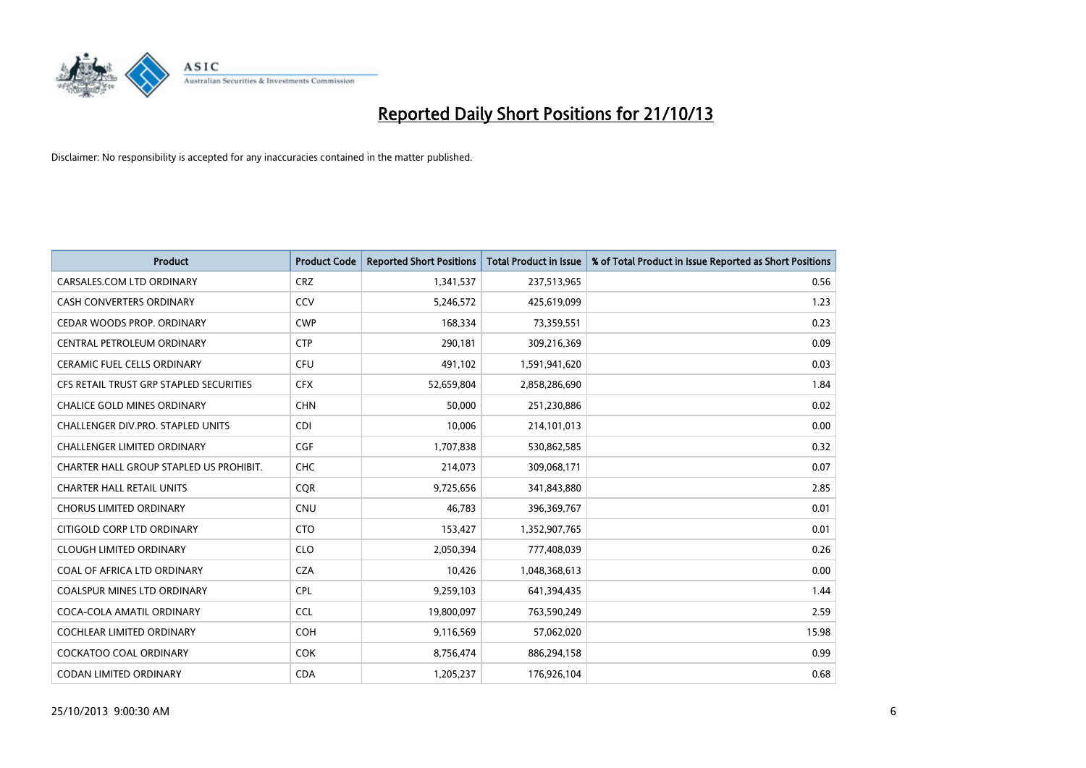

| <b>Product</b>                           | <b>Product Code</b> | <b>Reported Short Positions</b> | <b>Total Product in Issue</b> | % of Total Product in Issue Reported as Short Positions |
|------------------------------------------|---------------------|---------------------------------|-------------------------------|---------------------------------------------------------|
| CARSALES.COM LTD ORDINARY                | <b>CRZ</b>          | 1,341,537                       | 237,513,965                   | 0.56                                                    |
| CASH CONVERTERS ORDINARY                 | CCV                 | 5,246,572                       | 425,619,099                   | 1.23                                                    |
| CEDAR WOODS PROP. ORDINARY               | <b>CWP</b>          | 168,334                         | 73,359,551                    | 0.23                                                    |
| CENTRAL PETROLEUM ORDINARY               | <b>CTP</b>          | 290,181                         | 309,216,369                   | 0.09                                                    |
| <b>CERAMIC FUEL CELLS ORDINARY</b>       | <b>CFU</b>          | 491,102                         | 1,591,941,620                 | 0.03                                                    |
| CFS RETAIL TRUST GRP STAPLED SECURITIES  | <b>CFX</b>          | 52,659,804                      | 2,858,286,690                 | 1.84                                                    |
| <b>CHALICE GOLD MINES ORDINARY</b>       | <b>CHN</b>          | 50,000                          | 251,230,886                   | 0.02                                                    |
| <b>CHALLENGER DIV.PRO. STAPLED UNITS</b> | <b>CDI</b>          | 10,006                          | 214,101,013                   | 0.00                                                    |
| <b>CHALLENGER LIMITED ORDINARY</b>       | <b>CGF</b>          | 1,707,838                       | 530,862,585                   | 0.32                                                    |
| CHARTER HALL GROUP STAPLED US PROHIBIT.  | CHC                 | 214,073                         | 309,068,171                   | 0.07                                                    |
| <b>CHARTER HALL RETAIL UNITS</b>         | <b>CQR</b>          | 9,725,656                       | 341,843,880                   | 2.85                                                    |
| <b>CHORUS LIMITED ORDINARY</b>           | CNU                 | 46,783                          | 396,369,767                   | 0.01                                                    |
| CITIGOLD CORP LTD ORDINARY               | <b>CTO</b>          | 153,427                         | 1,352,907,765                 | 0.01                                                    |
| <b>CLOUGH LIMITED ORDINARY</b>           | <b>CLO</b>          | 2,050,394                       | 777,408,039                   | 0.26                                                    |
| COAL OF AFRICA LTD ORDINARY              | <b>CZA</b>          | 10,426                          | 1,048,368,613                 | 0.00                                                    |
| <b>COALSPUR MINES LTD ORDINARY</b>       | <b>CPL</b>          | 9,259,103                       | 641,394,435                   | 1.44                                                    |
| COCA-COLA AMATIL ORDINARY                | <b>CCL</b>          | 19,800,097                      | 763,590,249                   | 2.59                                                    |
| <b>COCHLEAR LIMITED ORDINARY</b>         | <b>COH</b>          | 9,116,569                       | 57,062,020                    | 15.98                                                   |
| <b>COCKATOO COAL ORDINARY</b>            | COK                 | 8,756,474                       | 886,294,158                   | 0.99                                                    |
| CODAN LIMITED ORDINARY                   | <b>CDA</b>          | 1,205,237                       | 176,926,104                   | 0.68                                                    |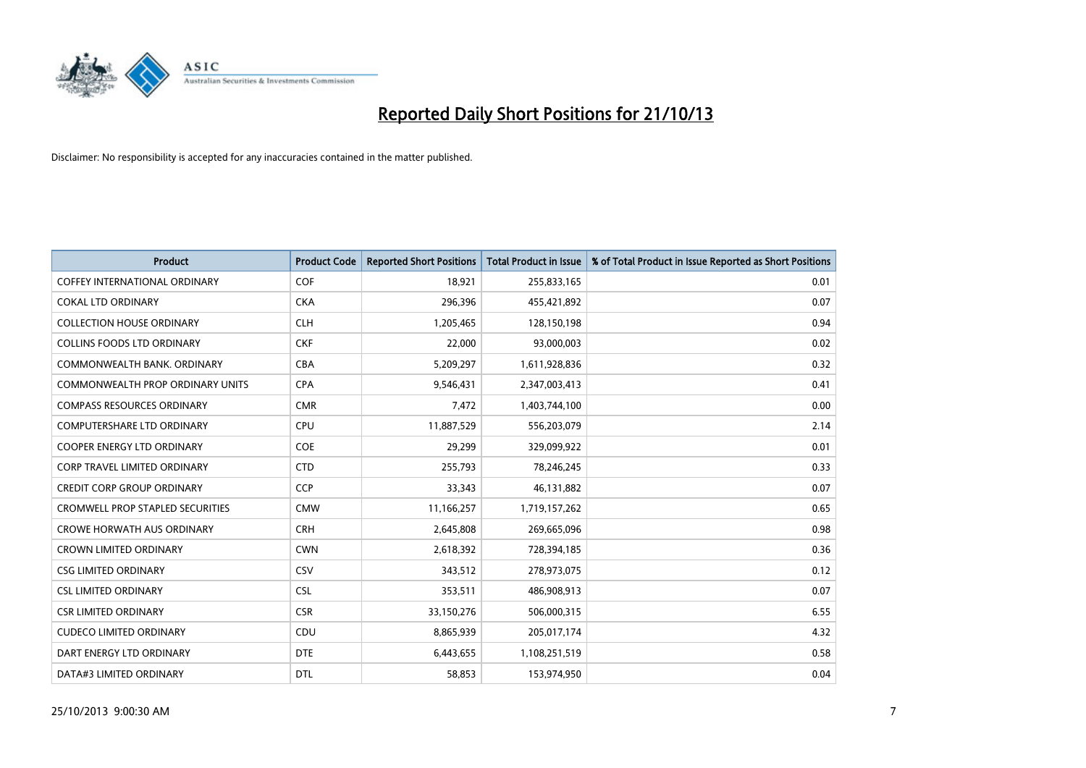

| Product                                 | <b>Product Code</b> | <b>Reported Short Positions</b> | <b>Total Product in Issue</b> | % of Total Product in Issue Reported as Short Positions |
|-----------------------------------------|---------------------|---------------------------------|-------------------------------|---------------------------------------------------------|
| COFFEY INTERNATIONAL ORDINARY           | <b>COF</b>          | 18,921                          | 255,833,165                   | 0.01                                                    |
| <b>COKAL LTD ORDINARY</b>               | <b>CKA</b>          | 296,396                         | 455,421,892                   | 0.07                                                    |
| <b>COLLECTION HOUSE ORDINARY</b>        | <b>CLH</b>          | 1,205,465                       | 128,150,198                   | 0.94                                                    |
| <b>COLLINS FOODS LTD ORDINARY</b>       | <b>CKF</b>          | 22,000                          | 93,000,003                    | 0.02                                                    |
| COMMONWEALTH BANK, ORDINARY             | <b>CBA</b>          | 5,209,297                       | 1,611,928,836                 | 0.32                                                    |
| COMMONWEALTH PROP ORDINARY UNITS        | <b>CPA</b>          | 9,546,431                       | 2,347,003,413                 | 0.41                                                    |
| <b>COMPASS RESOURCES ORDINARY</b>       | <b>CMR</b>          | 7,472                           | 1,403,744,100                 | 0.00                                                    |
| <b>COMPUTERSHARE LTD ORDINARY</b>       | <b>CPU</b>          | 11,887,529                      | 556,203,079                   | 2.14                                                    |
| COOPER ENERGY LTD ORDINARY              | <b>COE</b>          | 29,299                          | 329,099,922                   | 0.01                                                    |
| CORP TRAVEL LIMITED ORDINARY            | <b>CTD</b>          | 255,793                         | 78,246,245                    | 0.33                                                    |
| <b>CREDIT CORP GROUP ORDINARY</b>       | <b>CCP</b>          | 33,343                          | 46,131,882                    | 0.07                                                    |
| <b>CROMWELL PROP STAPLED SECURITIES</b> | <b>CMW</b>          | 11,166,257                      | 1,719,157,262                 | 0.65                                                    |
| <b>CROWE HORWATH AUS ORDINARY</b>       | <b>CRH</b>          | 2,645,808                       | 269,665,096                   | 0.98                                                    |
| <b>CROWN LIMITED ORDINARY</b>           | <b>CWN</b>          | 2,618,392                       | 728,394,185                   | 0.36                                                    |
| <b>CSG LIMITED ORDINARY</b>             | CSV                 | 343,512                         | 278,973,075                   | 0.12                                                    |
| <b>CSL LIMITED ORDINARY</b>             | <b>CSL</b>          | 353,511                         | 486,908,913                   | 0.07                                                    |
| <b>CSR LIMITED ORDINARY</b>             | <b>CSR</b>          | 33,150,276                      | 506,000,315                   | 6.55                                                    |
| <b>CUDECO LIMITED ORDINARY</b>          | <b>CDU</b>          | 8,865,939                       | 205,017,174                   | 4.32                                                    |
| DART ENERGY LTD ORDINARY                | <b>DTE</b>          | 6,443,655                       | 1,108,251,519                 | 0.58                                                    |
| DATA#3 LIMITED ORDINARY                 | <b>DTL</b>          | 58,853                          | 153,974,950                   | 0.04                                                    |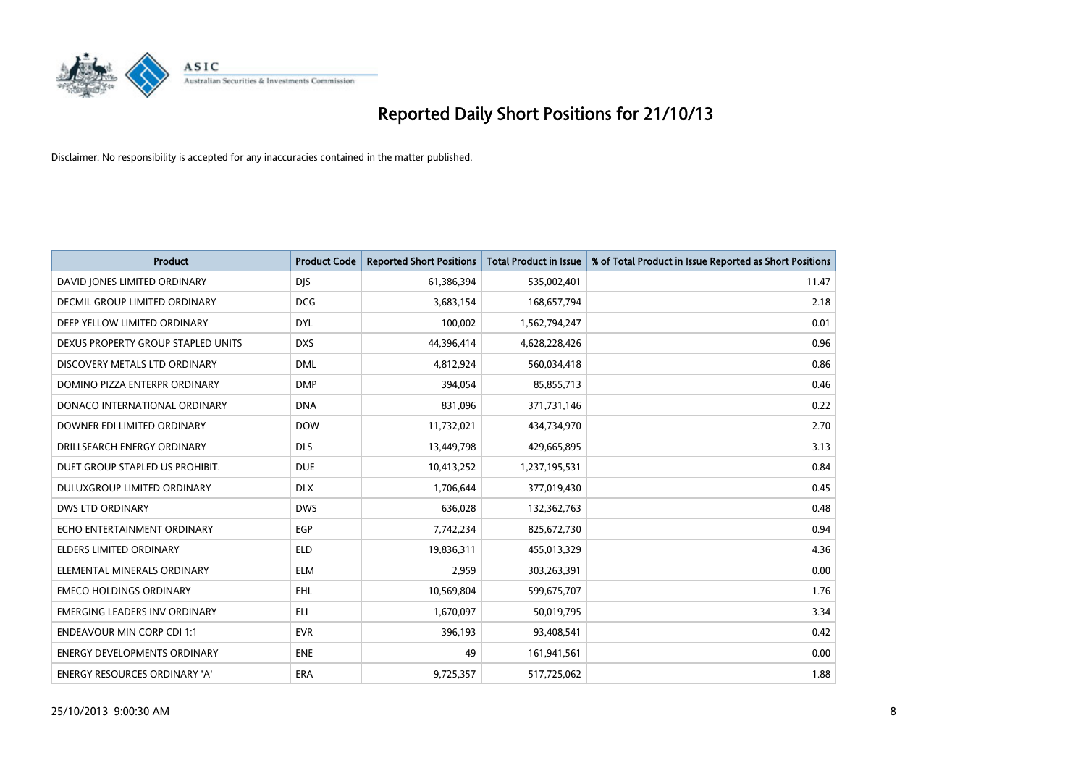

| <b>Product</b>                       | <b>Product Code</b> | <b>Reported Short Positions</b> | <b>Total Product in Issue</b> | % of Total Product in Issue Reported as Short Positions |
|--------------------------------------|---------------------|---------------------------------|-------------------------------|---------------------------------------------------------|
| DAVID JONES LIMITED ORDINARY         | <b>DJS</b>          | 61,386,394                      | 535,002,401                   | 11.47                                                   |
| <b>DECMIL GROUP LIMITED ORDINARY</b> | <b>DCG</b>          | 3,683,154                       | 168,657,794                   | 2.18                                                    |
| DEEP YELLOW LIMITED ORDINARY         | <b>DYL</b>          | 100,002                         | 1,562,794,247                 | 0.01                                                    |
| DEXUS PROPERTY GROUP STAPLED UNITS   | <b>DXS</b>          | 44,396,414                      | 4,628,228,426                 | 0.96                                                    |
| DISCOVERY METALS LTD ORDINARY        | <b>DML</b>          | 4,812,924                       | 560,034,418                   | 0.86                                                    |
| DOMINO PIZZA ENTERPR ORDINARY        | <b>DMP</b>          | 394,054                         | 85,855,713                    | 0.46                                                    |
| DONACO INTERNATIONAL ORDINARY        | <b>DNA</b>          | 831,096                         | 371,731,146                   | 0.22                                                    |
| DOWNER EDI LIMITED ORDINARY          | <b>DOW</b>          | 11,732,021                      | 434,734,970                   | 2.70                                                    |
| DRILLSEARCH ENERGY ORDINARY          | <b>DLS</b>          | 13,449,798                      | 429,665,895                   | 3.13                                                    |
| DUET GROUP STAPLED US PROHIBIT.      | <b>DUE</b>          | 10,413,252                      | 1,237,195,531                 | 0.84                                                    |
| <b>DULUXGROUP LIMITED ORDINARY</b>   | <b>DLX</b>          | 1,706,644                       | 377,019,430                   | 0.45                                                    |
| DWS LTD ORDINARY                     | <b>DWS</b>          | 636,028                         | 132,362,763                   | 0.48                                                    |
| ECHO ENTERTAINMENT ORDINARY          | <b>EGP</b>          | 7,742,234                       | 825,672,730                   | 0.94                                                    |
| <b>ELDERS LIMITED ORDINARY</b>       | <b>ELD</b>          | 19,836,311                      | 455,013,329                   | 4.36                                                    |
| ELEMENTAL MINERALS ORDINARY          | <b>ELM</b>          | 2,959                           | 303,263,391                   | 0.00                                                    |
| <b>EMECO HOLDINGS ORDINARY</b>       | <b>EHL</b>          | 10,569,804                      | 599,675,707                   | 1.76                                                    |
| EMERGING LEADERS INV ORDINARY        | ELI                 | 1,670,097                       | 50,019,795                    | 3.34                                                    |
| <b>ENDEAVOUR MIN CORP CDI 1:1</b>    | <b>EVR</b>          | 396,193                         | 93,408,541                    | 0.42                                                    |
| <b>ENERGY DEVELOPMENTS ORDINARY</b>  | <b>ENE</b>          | 49                              | 161,941,561                   | 0.00                                                    |
| ENERGY RESOURCES ORDINARY 'A'        | ERA                 | 9,725,357                       | 517,725,062                   | 1.88                                                    |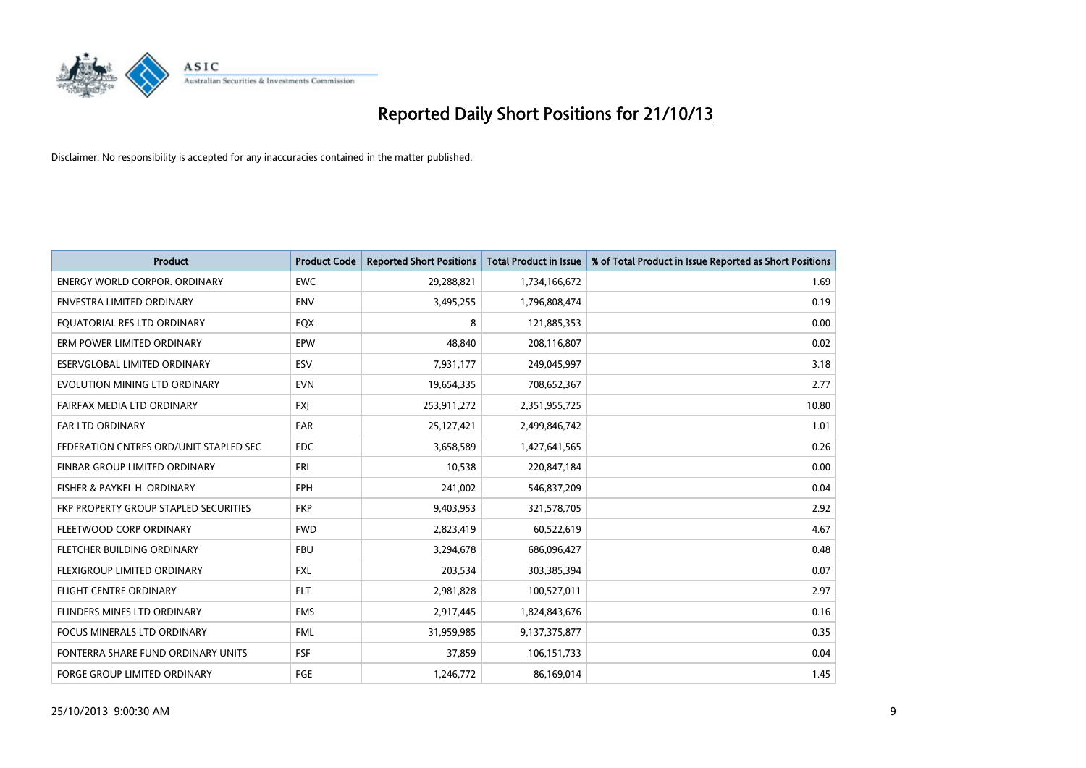

| <b>Product</b>                         | <b>Product Code</b> | <b>Reported Short Positions</b> | <b>Total Product in Issue</b> | % of Total Product in Issue Reported as Short Positions |
|----------------------------------------|---------------------|---------------------------------|-------------------------------|---------------------------------------------------------|
| <b>ENERGY WORLD CORPOR, ORDINARY</b>   | <b>EWC</b>          | 29,288,821                      | 1,734,166,672                 | 1.69                                                    |
| ENVESTRA LIMITED ORDINARY              | <b>ENV</b>          | 3,495,255                       | 1,796,808,474                 | 0.19                                                    |
| EQUATORIAL RES LTD ORDINARY            | EQX                 | 8                               | 121,885,353                   | 0.00                                                    |
| ERM POWER LIMITED ORDINARY             | <b>EPW</b>          | 48,840                          | 208,116,807                   | 0.02                                                    |
| ESERVGLOBAL LIMITED ORDINARY           | ESV                 | 7,931,177                       | 249,045,997                   | 3.18                                                    |
| EVOLUTION MINING LTD ORDINARY          | <b>EVN</b>          | 19,654,335                      | 708,652,367                   | 2.77                                                    |
| FAIRFAX MEDIA LTD ORDINARY             | <b>FXJ</b>          | 253,911,272                     | 2,351,955,725                 | 10.80                                                   |
| <b>FAR LTD ORDINARY</b>                | <b>FAR</b>          | 25,127,421                      | 2,499,846,742                 | 1.01                                                    |
| FEDERATION CNTRES ORD/UNIT STAPLED SEC | <b>FDC</b>          | 3,658,589                       | 1,427,641,565                 | 0.26                                                    |
| FINBAR GROUP LIMITED ORDINARY          | <b>FRI</b>          | 10,538                          | 220,847,184                   | 0.00                                                    |
| FISHER & PAYKEL H. ORDINARY            | <b>FPH</b>          | 241,002                         | 546,837,209                   | 0.04                                                    |
| FKP PROPERTY GROUP STAPLED SECURITIES  | <b>FKP</b>          | 9,403,953                       | 321,578,705                   | 2.92                                                    |
| FLEETWOOD CORP ORDINARY                | <b>FWD</b>          | 2,823,419                       | 60,522,619                    | 4.67                                                    |
| FLETCHER BUILDING ORDINARY             | <b>FBU</b>          | 3,294,678                       | 686,096,427                   | 0.48                                                    |
| FLEXIGROUP LIMITED ORDINARY            | <b>FXL</b>          | 203,534                         | 303,385,394                   | 0.07                                                    |
| <b>FLIGHT CENTRE ORDINARY</b>          | <b>FLT</b>          | 2,981,828                       | 100,527,011                   | 2.97                                                    |
| FLINDERS MINES LTD ORDINARY            | <b>FMS</b>          | 2,917,445                       | 1,824,843,676                 | 0.16                                                    |
| FOCUS MINERALS LTD ORDINARY            | <b>FML</b>          | 31,959,985                      | 9,137,375,877                 | 0.35                                                    |
| FONTERRA SHARE FUND ORDINARY UNITS     | <b>FSF</b>          | 37,859                          | 106,151,733                   | 0.04                                                    |
| <b>FORGE GROUP LIMITED ORDINARY</b>    | FGE                 | 1,246,772                       | 86,169,014                    | 1.45                                                    |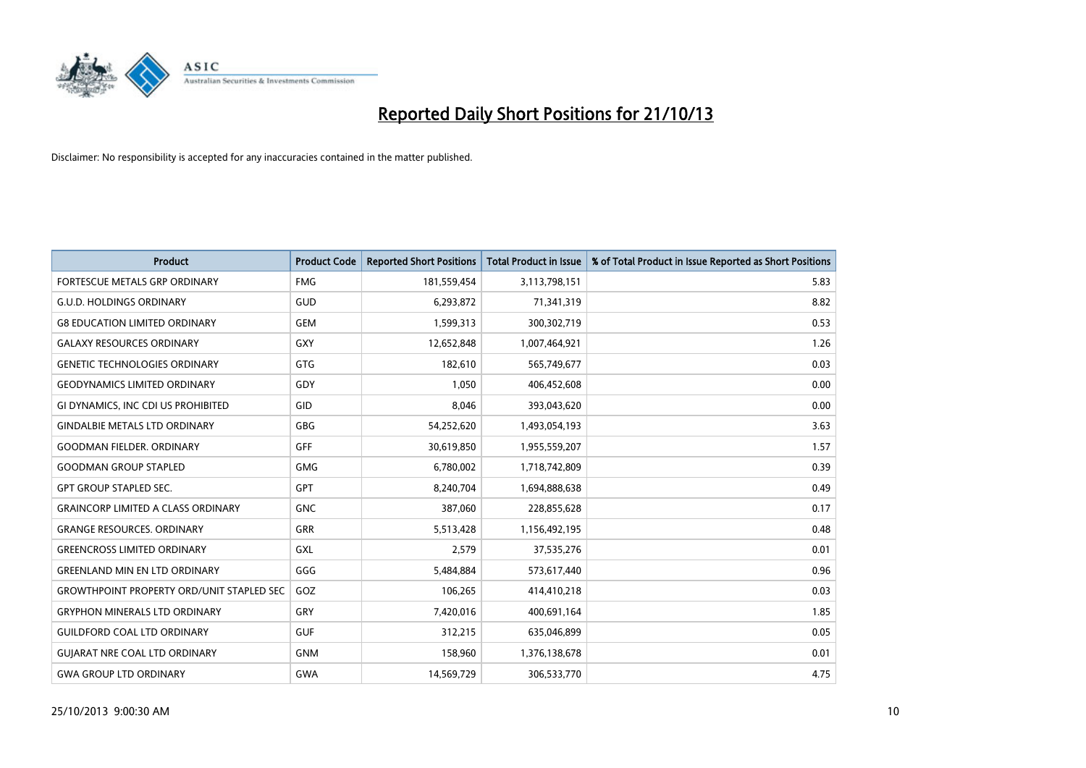

| <b>Product</b>                                   | <b>Product Code</b> | <b>Reported Short Positions</b> | <b>Total Product in Issue</b> | % of Total Product in Issue Reported as Short Positions |
|--------------------------------------------------|---------------------|---------------------------------|-------------------------------|---------------------------------------------------------|
| FORTESCUE METALS GRP ORDINARY                    | <b>FMG</b>          | 181,559,454                     | 3,113,798,151                 | 5.83                                                    |
| <b>G.U.D. HOLDINGS ORDINARY</b>                  | <b>GUD</b>          | 6,293,872                       | 71,341,319                    | 8.82                                                    |
| <b>G8 EDUCATION LIMITED ORDINARY</b>             | <b>GEM</b>          | 1,599,313                       | 300,302,719                   | 0.53                                                    |
| <b>GALAXY RESOURCES ORDINARY</b>                 | GXY                 | 12,652,848                      | 1,007,464,921                 | 1.26                                                    |
| <b>GENETIC TECHNOLOGIES ORDINARY</b>             | <b>GTG</b>          | 182,610                         | 565,749,677                   | 0.03                                                    |
| <b>GEODYNAMICS LIMITED ORDINARY</b>              | GDY                 | 1,050                           | 406,452,608                   | 0.00                                                    |
| GI DYNAMICS, INC CDI US PROHIBITED               | GID                 | 8,046                           | 393,043,620                   | 0.00                                                    |
| <b>GINDALBIE METALS LTD ORDINARY</b>             | GBG                 | 54,252,620                      | 1,493,054,193                 | 3.63                                                    |
| <b>GOODMAN FIELDER, ORDINARY</b>                 | GFF                 | 30,619,850                      | 1,955,559,207                 | 1.57                                                    |
| <b>GOODMAN GROUP STAPLED</b>                     | <b>GMG</b>          | 6,780,002                       | 1,718,742,809                 | 0.39                                                    |
| <b>GPT GROUP STAPLED SEC.</b>                    | GPT                 | 8,240,704                       | 1,694,888,638                 | 0.49                                                    |
| <b>GRAINCORP LIMITED A CLASS ORDINARY</b>        | <b>GNC</b>          | 387,060                         | 228,855,628                   | 0.17                                                    |
| <b>GRANGE RESOURCES, ORDINARY</b>                | <b>GRR</b>          | 5,513,428                       | 1,156,492,195                 | 0.48                                                    |
| <b>GREENCROSS LIMITED ORDINARY</b>               | <b>GXL</b>          | 2,579                           | 37,535,276                    | 0.01                                                    |
| <b>GREENLAND MIN EN LTD ORDINARY</b>             | GGG                 | 5,484,884                       | 573,617,440                   | 0.96                                                    |
| <b>GROWTHPOINT PROPERTY ORD/UNIT STAPLED SEC</b> | GOZ                 | 106,265                         | 414,410,218                   | 0.03                                                    |
| <b>GRYPHON MINERALS LTD ORDINARY</b>             | GRY                 | 7,420,016                       | 400,691,164                   | 1.85                                                    |
| <b>GUILDFORD COAL LTD ORDINARY</b>               | <b>GUF</b>          | 312,215                         | 635,046,899                   | 0.05                                                    |
| <b>GUIARAT NRE COAL LTD ORDINARY</b>             | <b>GNM</b>          | 158,960                         | 1,376,138,678                 | 0.01                                                    |
| <b>GWA GROUP LTD ORDINARY</b>                    | <b>GWA</b>          | 14,569,729                      | 306,533,770                   | 4.75                                                    |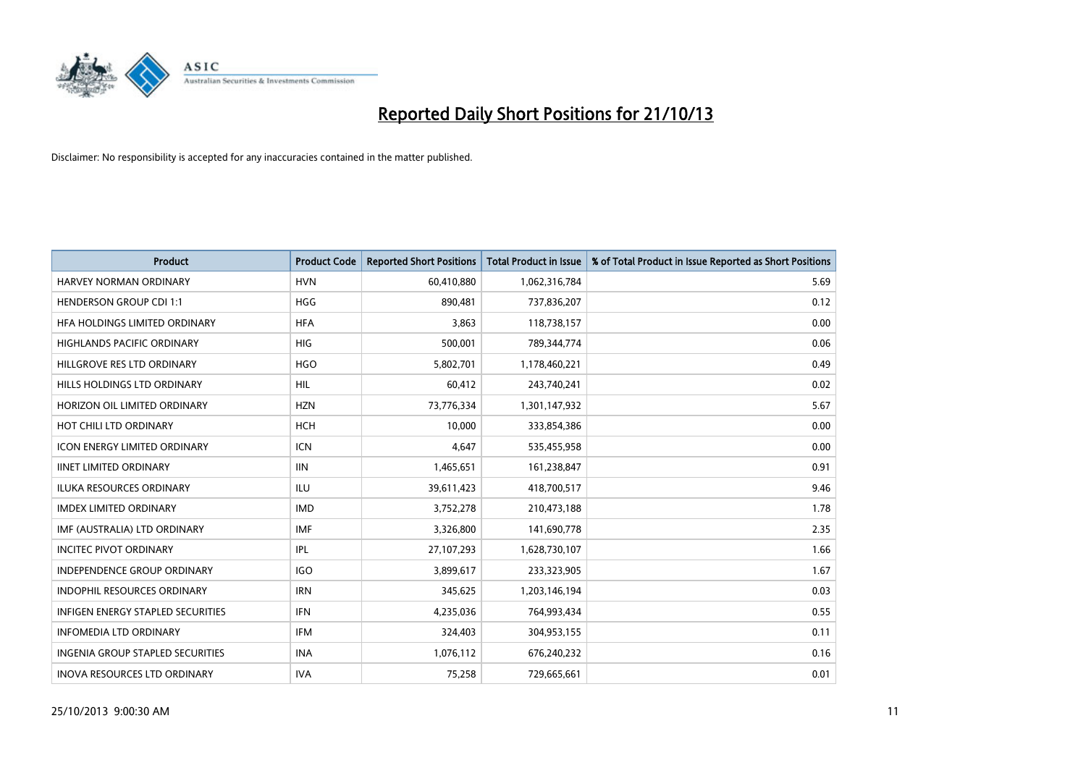

| <b>Product</b>                      | <b>Product Code</b> | <b>Reported Short Positions</b> | <b>Total Product in Issue</b> | % of Total Product in Issue Reported as Short Positions |
|-------------------------------------|---------------------|---------------------------------|-------------------------------|---------------------------------------------------------|
| HARVEY NORMAN ORDINARY              | <b>HVN</b>          | 60,410,880                      | 1,062,316,784                 | 5.69                                                    |
| HENDERSON GROUP CDI 1:1             | <b>HGG</b>          | 890,481                         | 737,836,207                   | 0.12                                                    |
| HFA HOLDINGS LIMITED ORDINARY       | <b>HFA</b>          | 3,863                           | 118,738,157                   | 0.00                                                    |
| <b>HIGHLANDS PACIFIC ORDINARY</b>   | <b>HIG</b>          | 500,001                         | 789,344,774                   | 0.06                                                    |
| HILLGROVE RES LTD ORDINARY          | <b>HGO</b>          | 5,802,701                       | 1,178,460,221                 | 0.49                                                    |
| HILLS HOLDINGS LTD ORDINARY         | <b>HIL</b>          | 60,412                          | 243,740,241                   | 0.02                                                    |
| HORIZON OIL LIMITED ORDINARY        | <b>HZN</b>          | 73,776,334                      | 1,301,147,932                 | 5.67                                                    |
| HOT CHILI LTD ORDINARY              | <b>HCH</b>          | 10,000                          | 333,854,386                   | 0.00                                                    |
| <b>ICON ENERGY LIMITED ORDINARY</b> | <b>ICN</b>          | 4,647                           | 535,455,958                   | 0.00                                                    |
| <b>IINET LIMITED ORDINARY</b>       | <b>IIN</b>          | 1,465,651                       | 161,238,847                   | 0.91                                                    |
| ILUKA RESOURCES ORDINARY            | ILU                 | 39,611,423                      | 418,700,517                   | 9.46                                                    |
| <b>IMDEX LIMITED ORDINARY</b>       | <b>IMD</b>          | 3,752,278                       | 210,473,188                   | 1.78                                                    |
| IMF (AUSTRALIA) LTD ORDINARY        | <b>IMF</b>          | 3,326,800                       | 141,690,778                   | 2.35                                                    |
| <b>INCITEC PIVOT ORDINARY</b>       | IPL                 | 27,107,293                      | 1,628,730,107                 | 1.66                                                    |
| <b>INDEPENDENCE GROUP ORDINARY</b>  | <b>IGO</b>          | 3,899,617                       | 233,323,905                   | 1.67                                                    |
| INDOPHIL RESOURCES ORDINARY         | <b>IRN</b>          | 345,625                         | 1,203,146,194                 | 0.03                                                    |
| INFIGEN ENERGY STAPLED SECURITIES   | <b>IFN</b>          | 4,235,036                       | 764,993,434                   | 0.55                                                    |
| <b>INFOMEDIA LTD ORDINARY</b>       | <b>IFM</b>          | 324,403                         | 304,953,155                   | 0.11                                                    |
| INGENIA GROUP STAPLED SECURITIES    | <b>INA</b>          | 1,076,112                       | 676,240,232                   | 0.16                                                    |
| INOVA RESOURCES LTD ORDINARY        | <b>IVA</b>          | 75,258                          | 729,665,661                   | 0.01                                                    |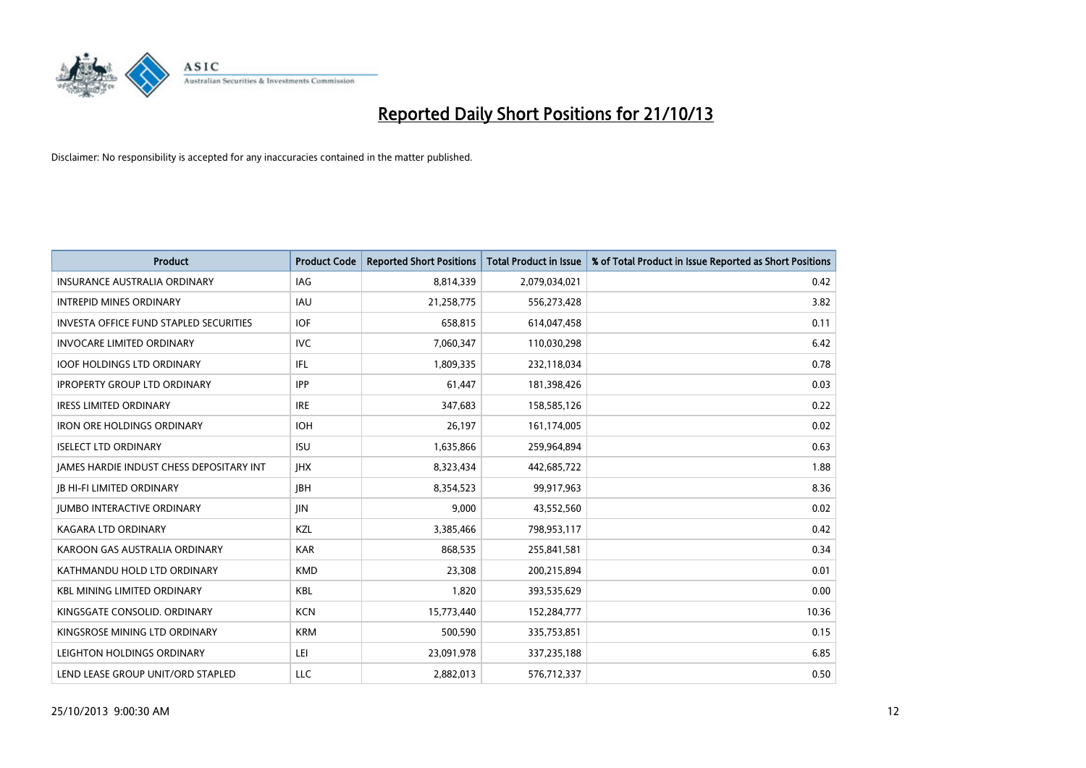

| <b>Product</b>                                  | <b>Product Code</b> | <b>Reported Short Positions</b> | <b>Total Product in Issue</b> | % of Total Product in Issue Reported as Short Positions |
|-------------------------------------------------|---------------------|---------------------------------|-------------------------------|---------------------------------------------------------|
| <b>INSURANCE AUSTRALIA ORDINARY</b>             | <b>IAG</b>          | 8,814,339                       | 2,079,034,021                 | 0.42                                                    |
| <b>INTREPID MINES ORDINARY</b>                  | <b>IAU</b>          | 21,258,775                      | 556,273,428                   | 3.82                                                    |
| <b>INVESTA OFFICE FUND STAPLED SECURITIES</b>   | <b>IOF</b>          | 658,815                         | 614,047,458                   | 0.11                                                    |
| <b>INVOCARE LIMITED ORDINARY</b>                | <b>IVC</b>          | 7,060,347                       | 110,030,298                   | 6.42                                                    |
| <b>IOOF HOLDINGS LTD ORDINARY</b>               | IFL                 | 1,809,335                       | 232,118,034                   | 0.78                                                    |
| <b>IPROPERTY GROUP LTD ORDINARY</b>             | <b>IPP</b>          | 61,447                          | 181,398,426                   | 0.03                                                    |
| <b>IRESS LIMITED ORDINARY</b>                   | <b>IRE</b>          | 347,683                         | 158,585,126                   | 0.22                                                    |
| <b>IRON ORE HOLDINGS ORDINARY</b>               | <b>IOH</b>          | 26,197                          | 161,174,005                   | 0.02                                                    |
| <b>ISELECT LTD ORDINARY</b>                     | <b>ISU</b>          | 1,635,866                       | 259,964,894                   | 0.63                                                    |
| <b>JAMES HARDIE INDUST CHESS DEPOSITARY INT</b> | <b>IHX</b>          | 8,323,434                       | 442,685,722                   | 1.88                                                    |
| <b>JB HI-FI LIMITED ORDINARY</b>                | <b>JBH</b>          | 8,354,523                       | 99,917,963                    | 8.36                                                    |
| <b>JUMBO INTERACTIVE ORDINARY</b>               | <b>JIN</b>          | 9,000                           | 43,552,560                    | 0.02                                                    |
| <b>KAGARA LTD ORDINARY</b>                      | KZL                 | 3,385,466                       | 798,953,117                   | 0.42                                                    |
| KAROON GAS AUSTRALIA ORDINARY                   | <b>KAR</b>          | 868,535                         | 255,841,581                   | 0.34                                                    |
| KATHMANDU HOLD LTD ORDINARY                     | <b>KMD</b>          | 23,308                          | 200,215,894                   | 0.01                                                    |
| <b>KBL MINING LIMITED ORDINARY</b>              | KBL                 | 1,820                           | 393,535,629                   | 0.00                                                    |
| KINGSGATE CONSOLID. ORDINARY                    | <b>KCN</b>          | 15,773,440                      | 152,284,777                   | 10.36                                                   |
| KINGSROSE MINING LTD ORDINARY                   | <b>KRM</b>          | 500,590                         | 335,753,851                   | 0.15                                                    |
| LEIGHTON HOLDINGS ORDINARY                      | LEI                 | 23,091,978                      | 337,235,188                   | 6.85                                                    |
| LEND LEASE GROUP UNIT/ORD STAPLED               | <b>LLC</b>          | 2,882,013                       | 576,712,337                   | 0.50                                                    |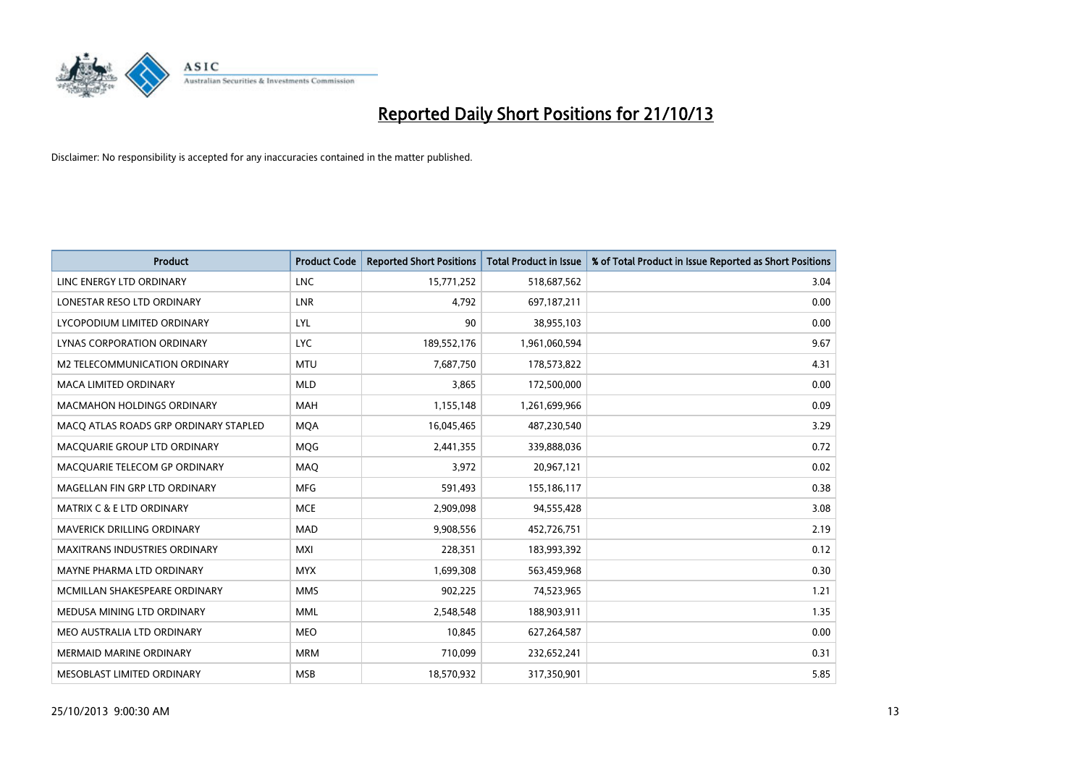

| <b>Product</b>                        | <b>Product Code</b> | <b>Reported Short Positions</b> | <b>Total Product in Issue</b> | % of Total Product in Issue Reported as Short Positions |
|---------------------------------------|---------------------|---------------------------------|-------------------------------|---------------------------------------------------------|
| LINC ENERGY LTD ORDINARY              | <b>LNC</b>          | 15,771,252                      | 518,687,562                   | 3.04                                                    |
| LONESTAR RESO LTD ORDINARY            | <b>LNR</b>          | 4,792                           | 697,187,211                   | 0.00                                                    |
| LYCOPODIUM LIMITED ORDINARY           | <b>LYL</b>          | 90                              | 38,955,103                    | 0.00                                                    |
| LYNAS CORPORATION ORDINARY            | <b>LYC</b>          | 189,552,176                     | 1,961,060,594                 | 9.67                                                    |
| <b>M2 TELECOMMUNICATION ORDINARY</b>  | <b>MTU</b>          | 7,687,750                       | 178,573,822                   | 4.31                                                    |
| MACA LIMITED ORDINARY                 | <b>MLD</b>          | 3,865                           | 172,500,000                   | 0.00                                                    |
| MACMAHON HOLDINGS ORDINARY            | MAH                 | 1,155,148                       | 1,261,699,966                 | 0.09                                                    |
| MACO ATLAS ROADS GRP ORDINARY STAPLED | <b>MOA</b>          | 16,045,465                      | 487,230,540                   | 3.29                                                    |
| MACQUARIE GROUP LTD ORDINARY          | <b>MOG</b>          | 2,441,355                       | 339,888,036                   | 0.72                                                    |
| MACQUARIE TELECOM GP ORDINARY         | MAQ                 | 3,972                           | 20,967,121                    | 0.02                                                    |
| MAGELLAN FIN GRP LTD ORDINARY         | <b>MFG</b>          | 591,493                         | 155,186,117                   | 0.38                                                    |
| <b>MATRIX C &amp; E LTD ORDINARY</b>  | <b>MCE</b>          | 2,909,098                       | 94,555,428                    | 3.08                                                    |
| <b>MAVERICK DRILLING ORDINARY</b>     | <b>MAD</b>          | 9,908,556                       | 452,726,751                   | 2.19                                                    |
| <b>MAXITRANS INDUSTRIES ORDINARY</b>  | <b>MXI</b>          | 228,351                         | 183,993,392                   | 0.12                                                    |
| MAYNE PHARMA LTD ORDINARY             | <b>MYX</b>          | 1,699,308                       | 563,459,968                   | 0.30                                                    |
| MCMILLAN SHAKESPEARE ORDINARY         | <b>MMS</b>          | 902,225                         | 74,523,965                    | 1.21                                                    |
| MEDUSA MINING LTD ORDINARY            | <b>MML</b>          | 2,548,548                       | 188,903,911                   | 1.35                                                    |
| MEO AUSTRALIA LTD ORDINARY            | <b>MEO</b>          | 10,845                          | 627,264,587                   | 0.00                                                    |
| <b>MERMAID MARINE ORDINARY</b>        | <b>MRM</b>          | 710,099                         | 232,652,241                   | 0.31                                                    |
| MESOBLAST LIMITED ORDINARY            | <b>MSB</b>          | 18,570,932                      | 317,350,901                   | 5.85                                                    |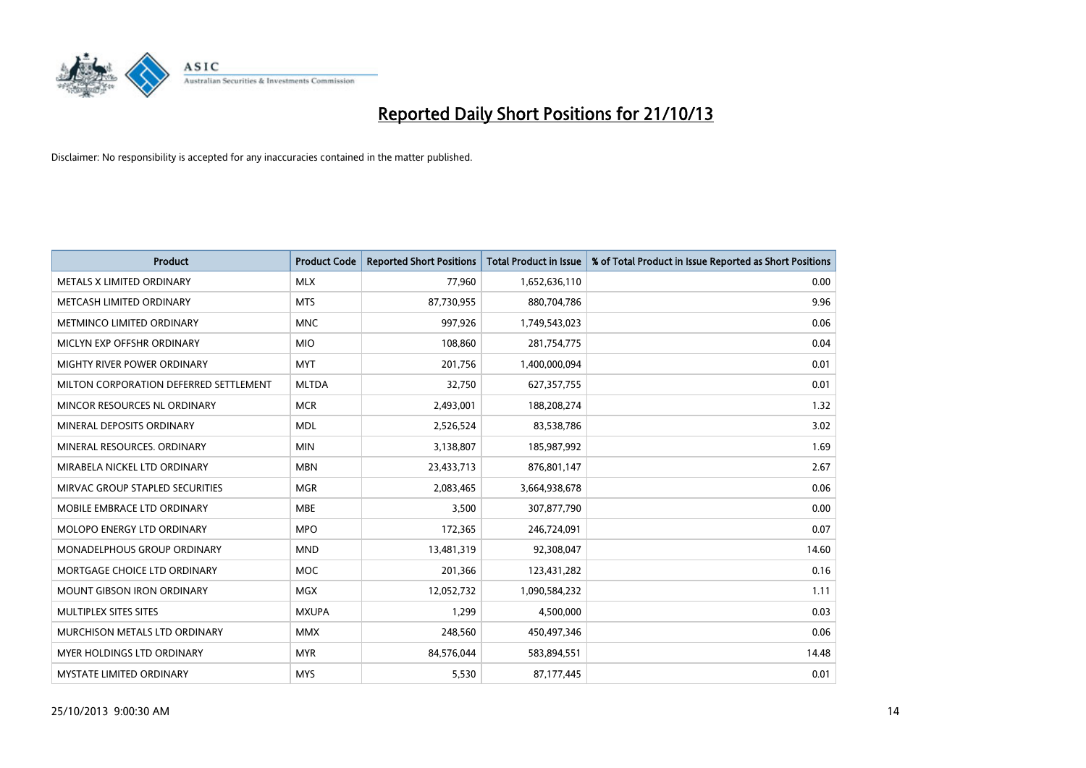

| <b>Product</b>                         | <b>Product Code</b> | <b>Reported Short Positions</b> | <b>Total Product in Issue</b> | % of Total Product in Issue Reported as Short Positions |
|----------------------------------------|---------------------|---------------------------------|-------------------------------|---------------------------------------------------------|
| METALS X LIMITED ORDINARY              | <b>MLX</b>          | 77,960                          | 1,652,636,110                 | 0.00                                                    |
| METCASH LIMITED ORDINARY               | <b>MTS</b>          | 87,730,955                      | 880,704,786                   | 9.96                                                    |
| METMINCO LIMITED ORDINARY              | <b>MNC</b>          | 997,926                         | 1,749,543,023                 | 0.06                                                    |
| MICLYN EXP OFFSHR ORDINARY             | <b>MIO</b>          | 108,860                         | 281,754,775                   | 0.04                                                    |
| MIGHTY RIVER POWER ORDINARY            | <b>MYT</b>          | 201,756                         | 1,400,000,094                 | 0.01                                                    |
| MILTON CORPORATION DEFERRED SETTLEMENT | <b>MLTDA</b>        | 32,750                          | 627,357,755                   | 0.01                                                    |
| MINCOR RESOURCES NL ORDINARY           | <b>MCR</b>          | 2,493,001                       | 188,208,274                   | 1.32                                                    |
| MINERAL DEPOSITS ORDINARY              | <b>MDL</b>          | 2,526,524                       | 83,538,786                    | 3.02                                                    |
| MINERAL RESOURCES, ORDINARY            | <b>MIN</b>          | 3,138,807                       | 185,987,992                   | 1.69                                                    |
| MIRABELA NICKEL LTD ORDINARY           | <b>MBN</b>          | 23,433,713                      | 876,801,147                   | 2.67                                                    |
| MIRVAC GROUP STAPLED SECURITIES        | <b>MGR</b>          | 2,083,465                       | 3,664,938,678                 | 0.06                                                    |
| MOBILE EMBRACE LTD ORDINARY            | <b>MBE</b>          | 3,500                           | 307,877,790                   | 0.00                                                    |
| MOLOPO ENERGY LTD ORDINARY             | <b>MPO</b>          | 172,365                         | 246,724,091                   | 0.07                                                    |
| MONADELPHOUS GROUP ORDINARY            | <b>MND</b>          | 13,481,319                      | 92,308,047                    | 14.60                                                   |
| MORTGAGE CHOICE LTD ORDINARY           | <b>MOC</b>          | 201,366                         | 123,431,282                   | 0.16                                                    |
| <b>MOUNT GIBSON IRON ORDINARY</b>      | <b>MGX</b>          | 12,052,732                      | 1,090,584,232                 | 1.11                                                    |
| MULTIPLEX SITES SITES                  | <b>MXUPA</b>        | 1,299                           | 4,500,000                     | 0.03                                                    |
| MURCHISON METALS LTD ORDINARY          | <b>MMX</b>          | 248,560                         | 450,497,346                   | 0.06                                                    |
| MYER HOLDINGS LTD ORDINARY             | <b>MYR</b>          | 84,576,044                      | 583,894,551                   | 14.48                                                   |
| <b>MYSTATE LIMITED ORDINARY</b>        | <b>MYS</b>          | 5,530                           | 87,177,445                    | 0.01                                                    |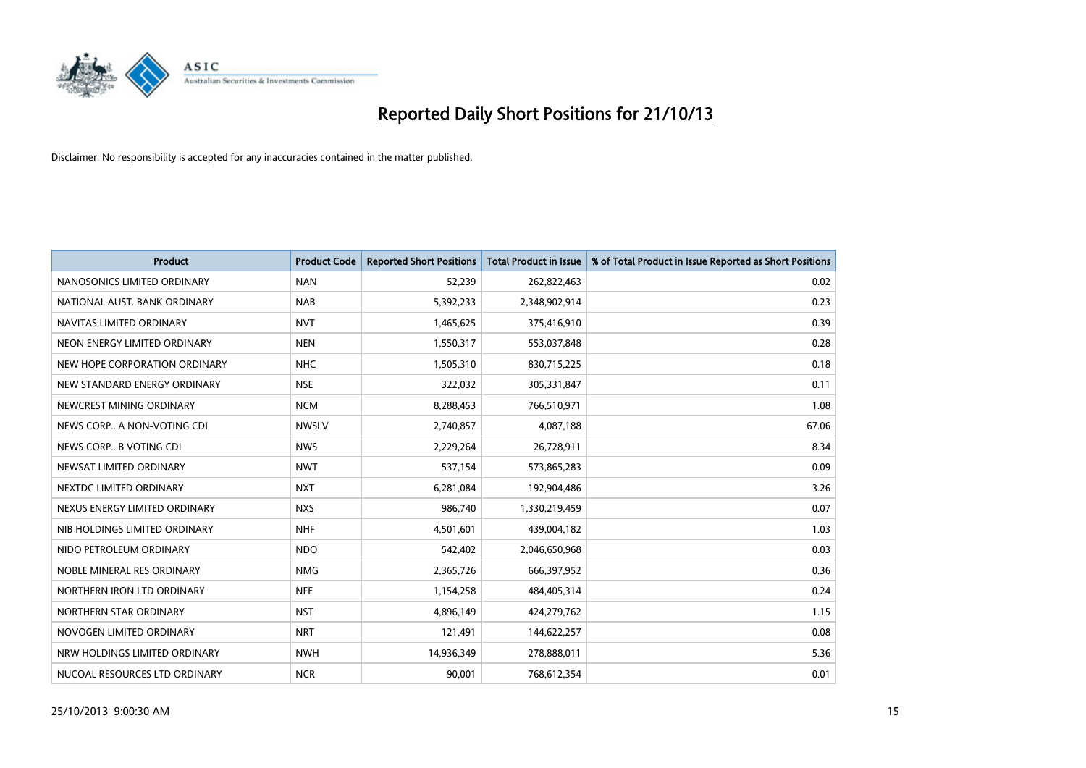

| <b>Product</b>                | <b>Product Code</b> | <b>Reported Short Positions</b> | <b>Total Product in Issue</b> | % of Total Product in Issue Reported as Short Positions |
|-------------------------------|---------------------|---------------------------------|-------------------------------|---------------------------------------------------------|
| NANOSONICS LIMITED ORDINARY   | <b>NAN</b>          | 52,239                          | 262,822,463                   | 0.02                                                    |
| NATIONAL AUST. BANK ORDINARY  | <b>NAB</b>          | 5,392,233                       | 2,348,902,914                 | 0.23                                                    |
| NAVITAS LIMITED ORDINARY      | <b>NVT</b>          | 1,465,625                       | 375,416,910                   | 0.39                                                    |
| NEON ENERGY LIMITED ORDINARY  | <b>NEN</b>          | 1,550,317                       | 553,037,848                   | 0.28                                                    |
| NEW HOPE CORPORATION ORDINARY | <b>NHC</b>          | 1,505,310                       | 830,715,225                   | 0.18                                                    |
| NEW STANDARD ENERGY ORDINARY  | <b>NSE</b>          | 322,032                         | 305,331,847                   | 0.11                                                    |
| NEWCREST MINING ORDINARY      | <b>NCM</b>          | 8,288,453                       | 766,510,971                   | 1.08                                                    |
| NEWS CORP A NON-VOTING CDI    | <b>NWSLV</b>        | 2,740,857                       | 4,087,188                     | 67.06                                                   |
| NEWS CORP B VOTING CDI        | <b>NWS</b>          | 2,229,264                       | 26,728,911                    | 8.34                                                    |
| NEWSAT LIMITED ORDINARY       | <b>NWT</b>          | 537,154                         | 573,865,283                   | 0.09                                                    |
| NEXTDC LIMITED ORDINARY       | <b>NXT</b>          | 6,281,084                       | 192,904,486                   | 3.26                                                    |
| NEXUS ENERGY LIMITED ORDINARY | <b>NXS</b>          | 986,740                         | 1,330,219,459                 | 0.07                                                    |
| NIB HOLDINGS LIMITED ORDINARY | <b>NHF</b>          | 4,501,601                       | 439,004,182                   | 1.03                                                    |
| NIDO PETROLEUM ORDINARY       | <b>NDO</b>          | 542,402                         | 2,046,650,968                 | 0.03                                                    |
| NOBLE MINERAL RES ORDINARY    | <b>NMG</b>          | 2,365,726                       | 666,397,952                   | 0.36                                                    |
| NORTHERN IRON LTD ORDINARY    | <b>NFE</b>          | 1,154,258                       | 484,405,314                   | 0.24                                                    |
| NORTHERN STAR ORDINARY        | NST                 | 4,896,149                       | 424,279,762                   | 1.15                                                    |
| NOVOGEN LIMITED ORDINARY      | <b>NRT</b>          | 121,491                         | 144,622,257                   | 0.08                                                    |
| NRW HOLDINGS LIMITED ORDINARY | <b>NWH</b>          | 14,936,349                      | 278,888,011                   | 5.36                                                    |
| NUCOAL RESOURCES LTD ORDINARY | <b>NCR</b>          | 90,001                          | 768,612,354                   | 0.01                                                    |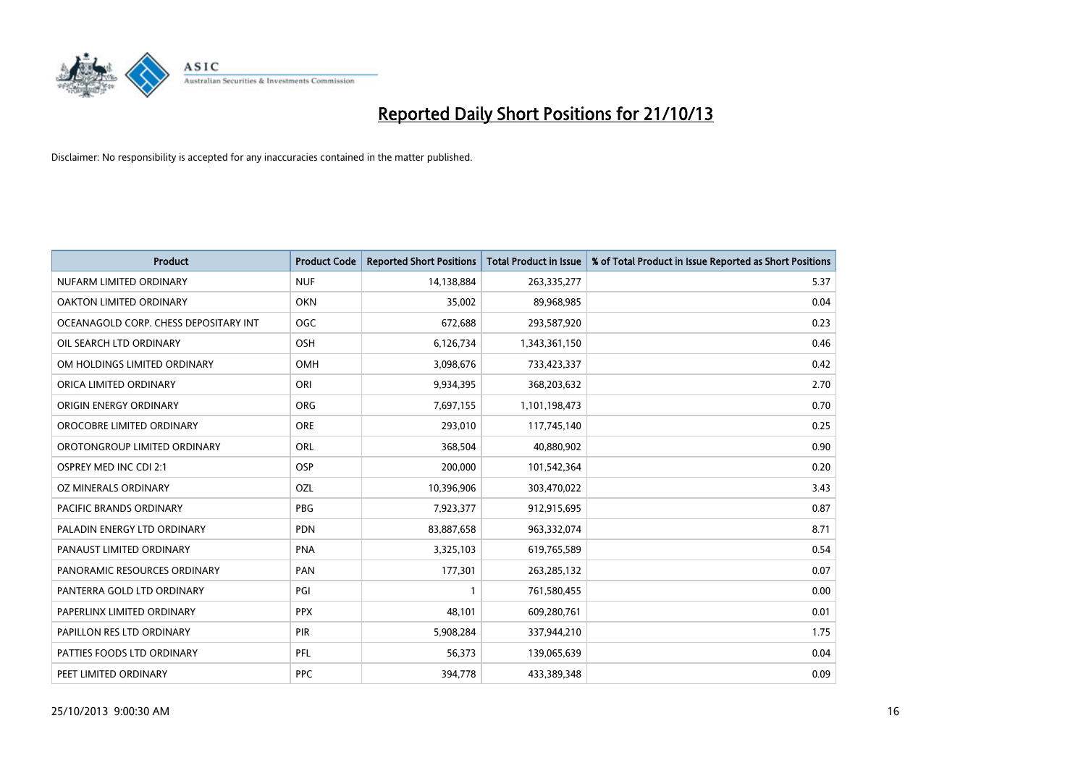

| <b>Product</b>                        | <b>Product Code</b> | <b>Reported Short Positions</b> | <b>Total Product in Issue</b> | % of Total Product in Issue Reported as Short Positions |
|---------------------------------------|---------------------|---------------------------------|-------------------------------|---------------------------------------------------------|
| NUFARM LIMITED ORDINARY               | <b>NUF</b>          | 14,138,884                      | 263,335,277                   | 5.37                                                    |
| OAKTON LIMITED ORDINARY               | <b>OKN</b>          | 35,002                          | 89,968,985                    | 0.04                                                    |
| OCEANAGOLD CORP. CHESS DEPOSITARY INT | <b>OGC</b>          | 672,688                         | 293,587,920                   | 0.23                                                    |
| OIL SEARCH LTD ORDINARY               | <b>OSH</b>          | 6,126,734                       | 1,343,361,150                 | 0.46                                                    |
| OM HOLDINGS LIMITED ORDINARY          | <b>OMH</b>          | 3,098,676                       | 733,423,337                   | 0.42                                                    |
| ORICA LIMITED ORDINARY                | ORI                 | 9,934,395                       | 368,203,632                   | 2.70                                                    |
| ORIGIN ENERGY ORDINARY                | <b>ORG</b>          | 7,697,155                       | 1,101,198,473                 | 0.70                                                    |
| OROCOBRE LIMITED ORDINARY             | <b>ORE</b>          | 293,010                         | 117,745,140                   | 0.25                                                    |
| OROTONGROUP LIMITED ORDINARY          | ORL                 | 368,504                         | 40,880,902                    | 0.90                                                    |
| <b>OSPREY MED INC CDI 2:1</b>         | <b>OSP</b>          | 200,000                         | 101,542,364                   | 0.20                                                    |
| OZ MINERALS ORDINARY                  | OZL                 | 10,396,906                      | 303,470,022                   | 3.43                                                    |
| PACIFIC BRANDS ORDINARY               | <b>PBG</b>          | 7,923,377                       | 912,915,695                   | 0.87                                                    |
| PALADIN ENERGY LTD ORDINARY           | <b>PDN</b>          | 83,887,658                      | 963,332,074                   | 8.71                                                    |
| PANAUST LIMITED ORDINARY              | <b>PNA</b>          | 3,325,103                       | 619,765,589                   | 0.54                                                    |
| PANORAMIC RESOURCES ORDINARY          | PAN                 | 177,301                         | 263,285,132                   | 0.07                                                    |
| PANTERRA GOLD LTD ORDINARY            | PGI                 |                                 | 761,580,455                   | 0.00                                                    |
| PAPERLINX LIMITED ORDINARY            | <b>PPX</b>          | 48,101                          | 609,280,761                   | 0.01                                                    |
| PAPILLON RES LTD ORDINARY             | PIR                 | 5,908,284                       | 337,944,210                   | 1.75                                                    |
| PATTIES FOODS LTD ORDINARY            | PFL                 | 56,373                          | 139,065,639                   | 0.04                                                    |
| PEET LIMITED ORDINARY                 | <b>PPC</b>          | 394,778                         | 433,389,348                   | 0.09                                                    |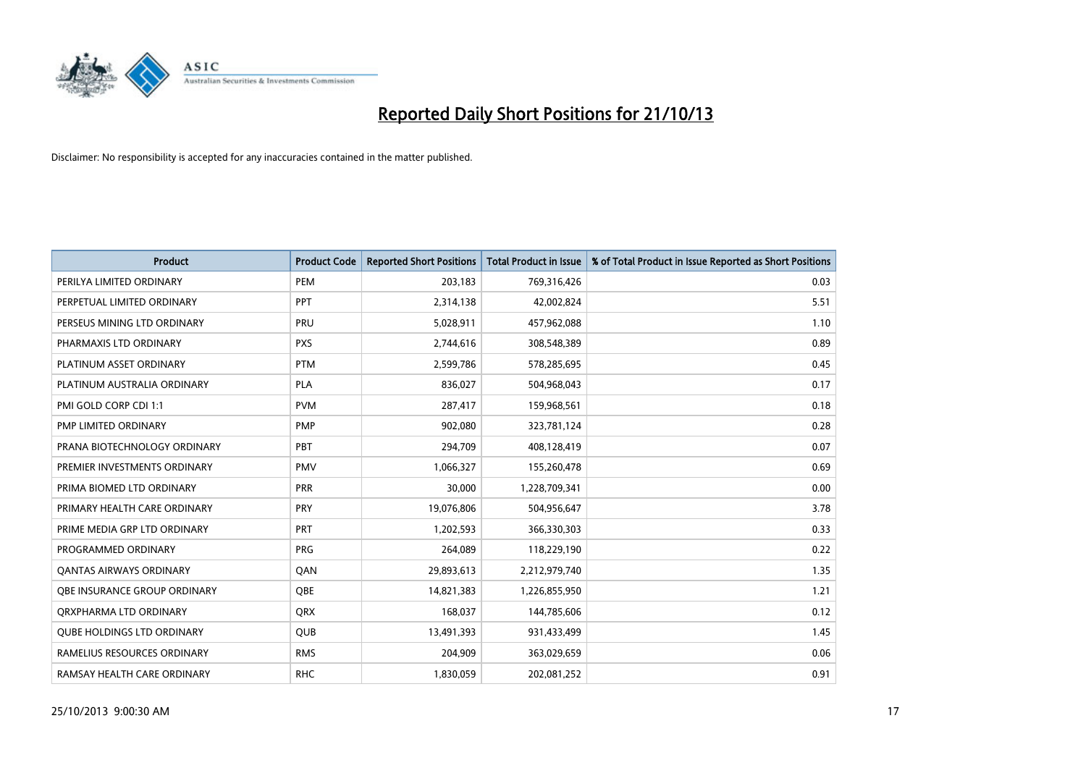

| <b>Product</b>                    | <b>Product Code</b> | <b>Reported Short Positions</b> | <b>Total Product in Issue</b> | % of Total Product in Issue Reported as Short Positions |
|-----------------------------------|---------------------|---------------------------------|-------------------------------|---------------------------------------------------------|
| PERILYA LIMITED ORDINARY          | PEM                 | 203,183                         | 769,316,426                   | 0.03                                                    |
| PERPETUAL LIMITED ORDINARY        | <b>PPT</b>          | 2,314,138                       | 42,002,824                    | 5.51                                                    |
| PERSEUS MINING LTD ORDINARY       | <b>PRU</b>          | 5,028,911                       | 457,962,088                   | 1.10                                                    |
| PHARMAXIS LTD ORDINARY            | <b>PXS</b>          | 2,744,616                       | 308,548,389                   | 0.89                                                    |
| PLATINUM ASSET ORDINARY           | <b>PTM</b>          | 2,599,786                       | 578,285,695                   | 0.45                                                    |
| PLATINUM AUSTRALIA ORDINARY       | <b>PLA</b>          | 836,027                         | 504,968,043                   | 0.17                                                    |
| PMI GOLD CORP CDI 1:1             | <b>PVM</b>          | 287,417                         | 159,968,561                   | 0.18                                                    |
| PMP LIMITED ORDINARY              | <b>PMP</b>          | 902,080                         | 323,781,124                   | 0.28                                                    |
| PRANA BIOTECHNOLOGY ORDINARY      | PBT                 | 294,709                         | 408,128,419                   | 0.07                                                    |
| PREMIER INVESTMENTS ORDINARY      | <b>PMV</b>          | 1,066,327                       | 155,260,478                   | 0.69                                                    |
| PRIMA BIOMED LTD ORDINARY         | <b>PRR</b>          | 30,000                          | 1,228,709,341                 | 0.00                                                    |
| PRIMARY HEALTH CARE ORDINARY      | <b>PRY</b>          | 19,076,806                      | 504,956,647                   | 3.78                                                    |
| PRIME MEDIA GRP LTD ORDINARY      | PRT                 | 1,202,593                       | 366,330,303                   | 0.33                                                    |
| PROGRAMMED ORDINARY               | <b>PRG</b>          | 264,089                         | 118,229,190                   | 0.22                                                    |
| <b>QANTAS AIRWAYS ORDINARY</b>    | QAN                 | 29,893,613                      | 2,212,979,740                 | 1.35                                                    |
| OBE INSURANCE GROUP ORDINARY      | OBE                 | 14,821,383                      | 1,226,855,950                 | 1.21                                                    |
| ORXPHARMA LTD ORDINARY            | <b>QRX</b>          | 168,037                         | 144,785,606                   | 0.12                                                    |
| <b>QUBE HOLDINGS LTD ORDINARY</b> | QUB                 | 13,491,393                      | 931,433,499                   | 1.45                                                    |
| RAMELIUS RESOURCES ORDINARY       | <b>RMS</b>          | 204,909                         | 363,029,659                   | 0.06                                                    |
| RAMSAY HEALTH CARE ORDINARY       | <b>RHC</b>          | 1,830,059                       | 202,081,252                   | 0.91                                                    |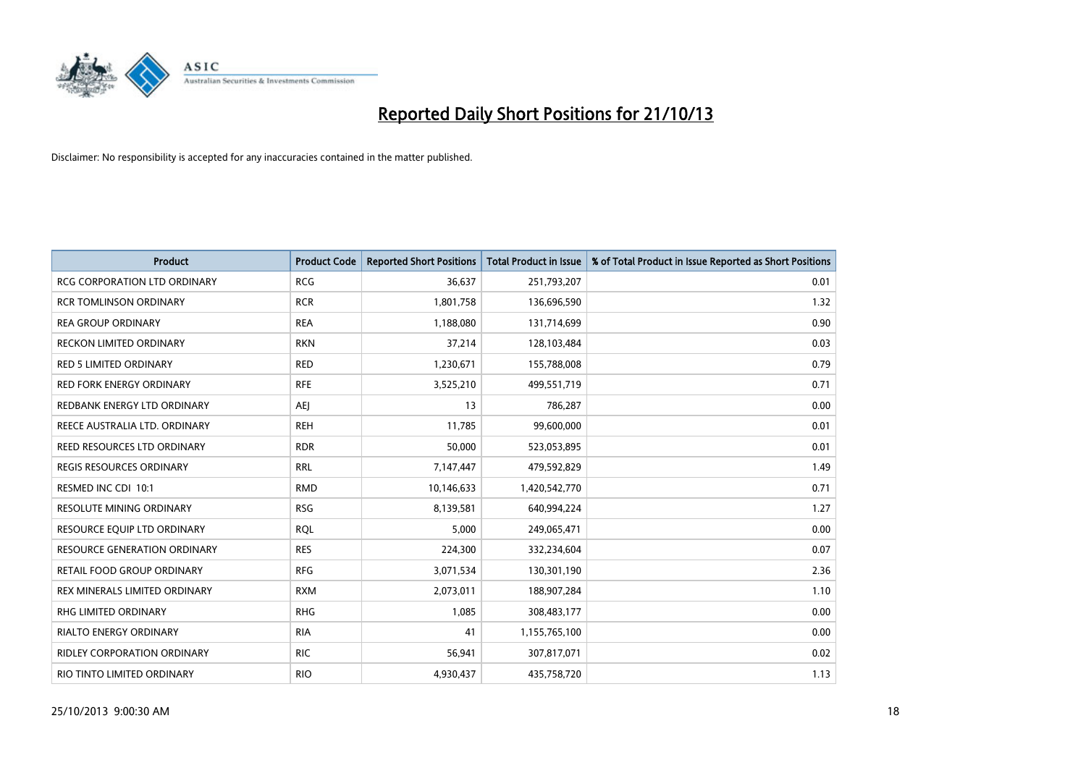

| <b>Product</b>                      | <b>Product Code</b> | <b>Reported Short Positions</b> | <b>Total Product in Issue</b> | % of Total Product in Issue Reported as Short Positions |
|-------------------------------------|---------------------|---------------------------------|-------------------------------|---------------------------------------------------------|
| <b>RCG CORPORATION LTD ORDINARY</b> | <b>RCG</b>          | 36,637                          | 251,793,207                   | 0.01                                                    |
| <b>RCR TOMLINSON ORDINARY</b>       | <b>RCR</b>          | 1,801,758                       | 136,696,590                   | 1.32                                                    |
| <b>REA GROUP ORDINARY</b>           | <b>REA</b>          | 1,188,080                       | 131,714,699                   | 0.90                                                    |
| RECKON LIMITED ORDINARY             | <b>RKN</b>          | 37,214                          | 128,103,484                   | 0.03                                                    |
| <b>RED 5 LIMITED ORDINARY</b>       | <b>RED</b>          | 1,230,671                       | 155,788,008                   | 0.79                                                    |
| <b>RED FORK ENERGY ORDINARY</b>     | <b>RFE</b>          | 3,525,210                       | 499,551,719                   | 0.71                                                    |
| REDBANK ENERGY LTD ORDINARY         | AEJ                 | 13                              | 786,287                       | 0.00                                                    |
| REECE AUSTRALIA LTD. ORDINARY       | <b>REH</b>          | 11,785                          | 99,600,000                    | 0.01                                                    |
| REED RESOURCES LTD ORDINARY         | <b>RDR</b>          | 50,000                          | 523,053,895                   | 0.01                                                    |
| <b>REGIS RESOURCES ORDINARY</b>     | <b>RRL</b>          | 7,147,447                       | 479,592,829                   | 1.49                                                    |
| RESMED INC CDI 10:1                 | <b>RMD</b>          | 10,146,633                      | 1,420,542,770                 | 0.71                                                    |
| <b>RESOLUTE MINING ORDINARY</b>     | <b>RSG</b>          | 8,139,581                       | 640,994,224                   | 1.27                                                    |
| RESOURCE EQUIP LTD ORDINARY         | <b>ROL</b>          | 5,000                           | 249,065,471                   | 0.00                                                    |
| <b>RESOURCE GENERATION ORDINARY</b> | <b>RES</b>          | 224,300                         | 332,234,604                   | 0.07                                                    |
| <b>RETAIL FOOD GROUP ORDINARY</b>   | <b>RFG</b>          | 3,071,534                       | 130,301,190                   | 2.36                                                    |
| REX MINERALS LIMITED ORDINARY       | <b>RXM</b>          | 2,073,011                       | 188,907,284                   | 1.10                                                    |
| RHG LIMITED ORDINARY                | <b>RHG</b>          | 1,085                           | 308,483,177                   | 0.00                                                    |
| <b>RIALTO ENERGY ORDINARY</b>       | <b>RIA</b>          | 41                              | 1,155,765,100                 | 0.00                                                    |
| RIDLEY CORPORATION ORDINARY         | <b>RIC</b>          | 56,941                          | 307,817,071                   | 0.02                                                    |
| RIO TINTO LIMITED ORDINARY          | <b>RIO</b>          | 4,930,437                       | 435,758,720                   | 1.13                                                    |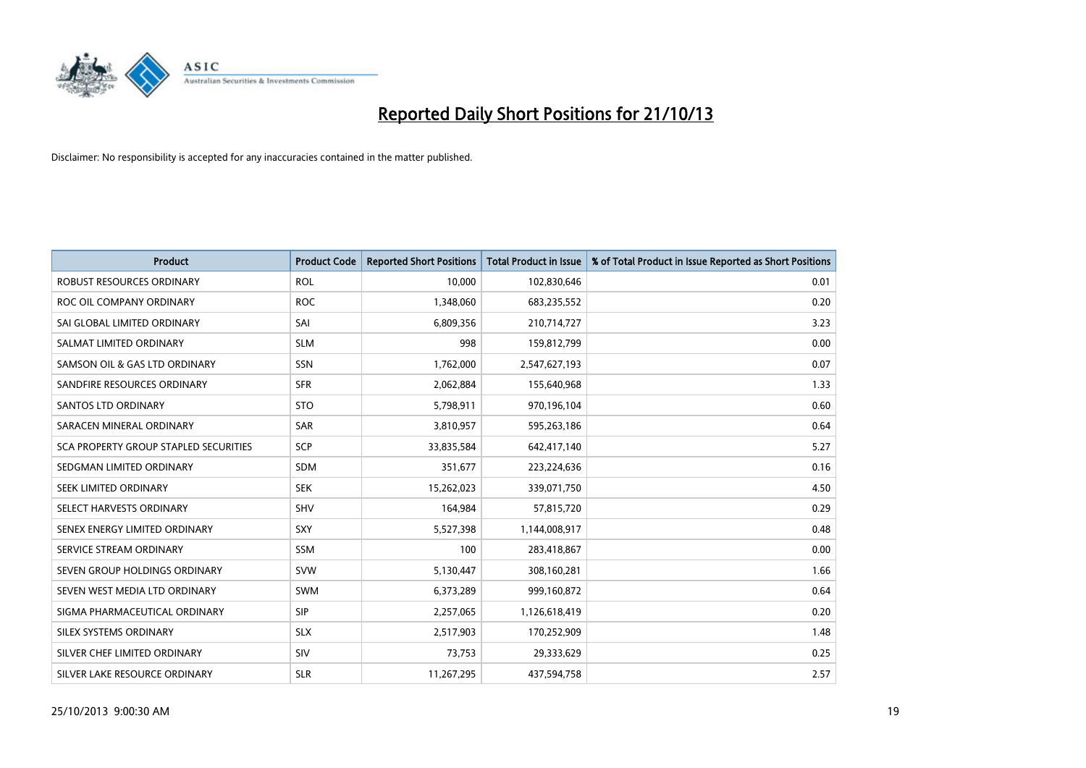

| <b>Product</b>                        | <b>Product Code</b> | <b>Reported Short Positions</b> | <b>Total Product in Issue</b> | % of Total Product in Issue Reported as Short Positions |
|---------------------------------------|---------------------|---------------------------------|-------------------------------|---------------------------------------------------------|
| <b>ROBUST RESOURCES ORDINARY</b>      | <b>ROL</b>          | 10,000                          | 102,830,646                   | 0.01                                                    |
| ROC OIL COMPANY ORDINARY              | <b>ROC</b>          | 1,348,060                       | 683,235,552                   | 0.20                                                    |
| SAI GLOBAL LIMITED ORDINARY           | SAI                 | 6,809,356                       | 210,714,727                   | 3.23                                                    |
| SALMAT LIMITED ORDINARY               | <b>SLM</b>          | 998                             | 159,812,799                   | 0.00                                                    |
| SAMSON OIL & GAS LTD ORDINARY         | SSN                 | 1,762,000                       | 2,547,627,193                 | 0.07                                                    |
| SANDFIRE RESOURCES ORDINARY           | <b>SFR</b>          | 2,062,884                       | 155,640,968                   | 1.33                                                    |
| <b>SANTOS LTD ORDINARY</b>            | <b>STO</b>          | 5,798,911                       | 970,196,104                   | 0.60                                                    |
| SARACEN MINERAL ORDINARY              | SAR                 | 3,810,957                       | 595,263,186                   | 0.64                                                    |
| SCA PROPERTY GROUP STAPLED SECURITIES | <b>SCP</b>          | 33,835,584                      | 642,417,140                   | 5.27                                                    |
| SEDGMAN LIMITED ORDINARY              | <b>SDM</b>          | 351,677                         | 223,224,636                   | 0.16                                                    |
| SEEK LIMITED ORDINARY                 | <b>SEK</b>          | 15,262,023                      | 339,071,750                   | 4.50                                                    |
| SELECT HARVESTS ORDINARY              | SHV                 | 164,984                         | 57,815,720                    | 0.29                                                    |
| SENEX ENERGY LIMITED ORDINARY         | <b>SXY</b>          | 5,527,398                       | 1,144,008,917                 | 0.48                                                    |
| SERVICE STREAM ORDINARY               | <b>SSM</b>          | 100                             | 283,418,867                   | 0.00                                                    |
| SEVEN GROUP HOLDINGS ORDINARY         | <b>SVW</b>          | 5,130,447                       | 308,160,281                   | 1.66                                                    |
| SEVEN WEST MEDIA LTD ORDINARY         | SWM                 | 6,373,289                       | 999,160,872                   | 0.64                                                    |
| SIGMA PHARMACEUTICAL ORDINARY         | <b>SIP</b>          | 2,257,065                       | 1,126,618,419                 | 0.20                                                    |
| SILEX SYSTEMS ORDINARY                | <b>SLX</b>          | 2,517,903                       | 170,252,909                   | 1.48                                                    |
| SILVER CHEF LIMITED ORDINARY          | <b>SIV</b>          | 73,753                          | 29,333,629                    | 0.25                                                    |
| SILVER LAKE RESOURCE ORDINARY         | <b>SLR</b>          | 11,267,295                      | 437,594,758                   | 2.57                                                    |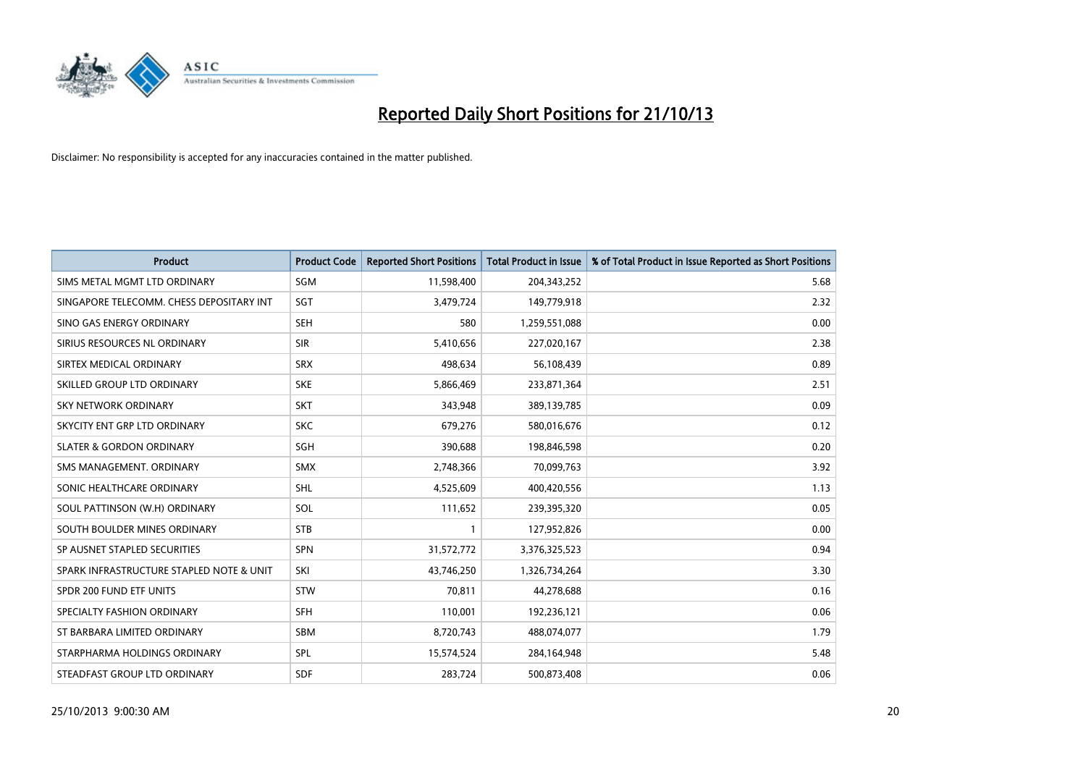

| <b>Product</b>                           | <b>Product Code</b> | <b>Reported Short Positions</b> | <b>Total Product in Issue</b> | % of Total Product in Issue Reported as Short Positions |
|------------------------------------------|---------------------|---------------------------------|-------------------------------|---------------------------------------------------------|
| SIMS METAL MGMT LTD ORDINARY             | SGM                 | 11,598,400                      | 204,343,252                   | 5.68                                                    |
| SINGAPORE TELECOMM. CHESS DEPOSITARY INT | SGT                 | 3,479,724                       | 149,779,918                   | 2.32                                                    |
| SINO GAS ENERGY ORDINARY                 | <b>SEH</b>          | 580                             | 1,259,551,088                 | 0.00                                                    |
| SIRIUS RESOURCES NL ORDINARY             | <b>SIR</b>          | 5,410,656                       | 227,020,167                   | 2.38                                                    |
| SIRTEX MEDICAL ORDINARY                  | <b>SRX</b>          | 498,634                         | 56,108,439                    | 0.89                                                    |
| SKILLED GROUP LTD ORDINARY               | <b>SKE</b>          | 5,866,469                       | 233,871,364                   | 2.51                                                    |
| <b>SKY NETWORK ORDINARY</b>              | <b>SKT</b>          | 343,948                         | 389,139,785                   | 0.09                                                    |
| SKYCITY ENT GRP LTD ORDINARY             | <b>SKC</b>          | 679,276                         | 580,016,676                   | 0.12                                                    |
| <b>SLATER &amp; GORDON ORDINARY</b>      | SGH                 | 390,688                         | 198,846,598                   | 0.20                                                    |
| SMS MANAGEMENT, ORDINARY                 | <b>SMX</b>          | 2,748,366                       | 70,099,763                    | 3.92                                                    |
| SONIC HEALTHCARE ORDINARY                | <b>SHL</b>          | 4,525,609                       | 400,420,556                   | 1.13                                                    |
| SOUL PATTINSON (W.H) ORDINARY            | SOL                 | 111,652                         | 239,395,320                   | 0.05                                                    |
| SOUTH BOULDER MINES ORDINARY             | <b>STB</b>          | $\mathbf{1}$                    | 127,952,826                   | 0.00                                                    |
| SP AUSNET STAPLED SECURITIES             | <b>SPN</b>          | 31,572,772                      | 3,376,325,523                 | 0.94                                                    |
| SPARK INFRASTRUCTURE STAPLED NOTE & UNIT | SKI                 | 43,746,250                      | 1,326,734,264                 | 3.30                                                    |
| SPDR 200 FUND ETF UNITS                  | <b>STW</b>          | 70,811                          | 44,278,688                    | 0.16                                                    |
| SPECIALTY FASHION ORDINARY               | <b>SFH</b>          | 110,001                         | 192,236,121                   | 0.06                                                    |
| ST BARBARA LIMITED ORDINARY              | <b>SBM</b>          | 8,720,743                       | 488,074,077                   | 1.79                                                    |
| STARPHARMA HOLDINGS ORDINARY             | <b>SPL</b>          | 15,574,524                      | 284,164,948                   | 5.48                                                    |
| STEADFAST GROUP LTD ORDINARY             | <b>SDF</b>          | 283,724                         | 500,873,408                   | 0.06                                                    |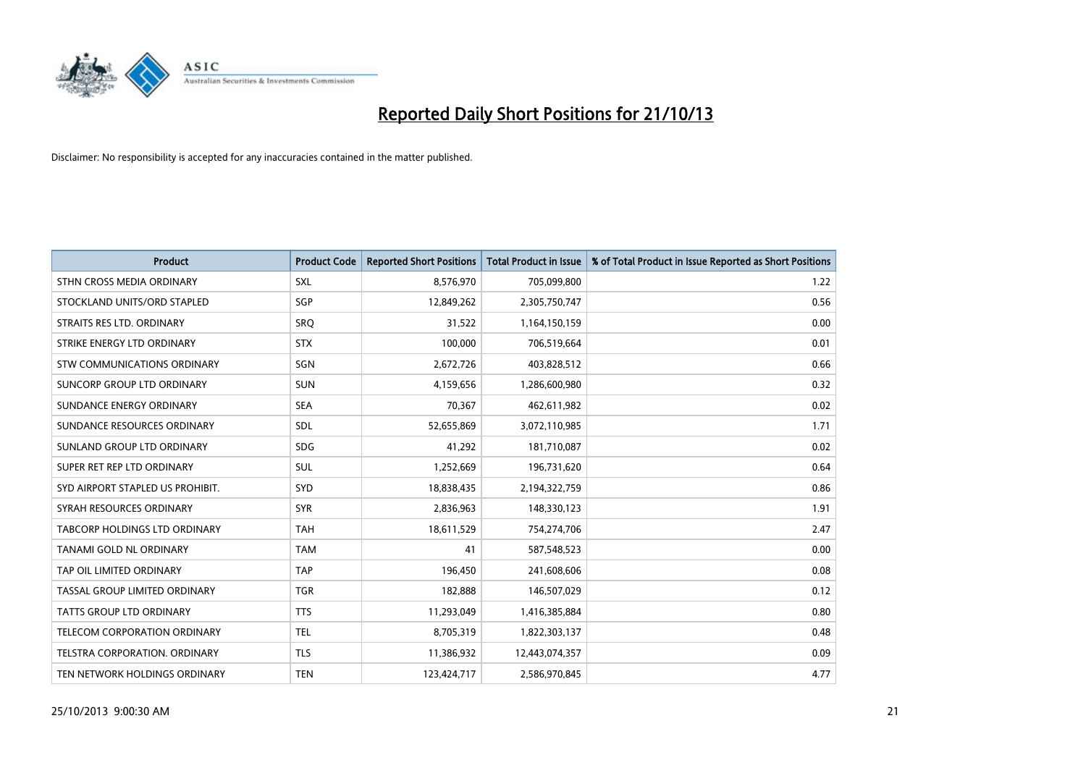

| <b>Product</b>                       | <b>Product Code</b> | <b>Reported Short Positions</b> | <b>Total Product in Issue</b> | % of Total Product in Issue Reported as Short Positions |
|--------------------------------------|---------------------|---------------------------------|-------------------------------|---------------------------------------------------------|
| STHN CROSS MEDIA ORDINARY            | <b>SXL</b>          | 8,576,970                       | 705,099,800                   | 1.22                                                    |
| STOCKLAND UNITS/ORD STAPLED          | SGP                 | 12,849,262                      | 2,305,750,747                 | 0.56                                                    |
| STRAITS RES LTD. ORDINARY            | <b>SRQ</b>          | 31,522                          | 1,164,150,159                 | 0.00                                                    |
| STRIKE ENERGY LTD ORDINARY           | <b>STX</b>          | 100,000                         | 706,519,664                   | 0.01                                                    |
| STW COMMUNICATIONS ORDINARY          | SGN                 | 2,672,726                       | 403,828,512                   | 0.66                                                    |
| SUNCORP GROUP LTD ORDINARY           | <b>SUN</b>          | 4,159,656                       | 1,286,600,980                 | 0.32                                                    |
| SUNDANCE ENERGY ORDINARY             | <b>SEA</b>          | 70.367                          | 462,611,982                   | 0.02                                                    |
| SUNDANCE RESOURCES ORDINARY          | SDL                 | 52,655,869                      | 3,072,110,985                 | 1.71                                                    |
| SUNLAND GROUP LTD ORDINARY           | <b>SDG</b>          | 41,292                          | 181,710,087                   | 0.02                                                    |
| SUPER RET REP LTD ORDINARY           | <b>SUL</b>          | 1,252,669                       | 196,731,620                   | 0.64                                                    |
| SYD AIRPORT STAPLED US PROHIBIT.     | <b>SYD</b>          | 18,838,435                      | 2,194,322,759                 | 0.86                                                    |
| SYRAH RESOURCES ORDINARY             | <b>SYR</b>          | 2,836,963                       | 148,330,123                   | 1.91                                                    |
| <b>TABCORP HOLDINGS LTD ORDINARY</b> | <b>TAH</b>          | 18,611,529                      | 754,274,706                   | 2.47                                                    |
| <b>TANAMI GOLD NL ORDINARY</b>       | <b>TAM</b>          | 41                              | 587,548,523                   | 0.00                                                    |
| TAP OIL LIMITED ORDINARY             | <b>TAP</b>          | 196,450                         | 241,608,606                   | 0.08                                                    |
| TASSAL GROUP LIMITED ORDINARY        | <b>TGR</b>          | 182,888                         | 146,507,029                   | 0.12                                                    |
| <b>TATTS GROUP LTD ORDINARY</b>      | <b>TTS</b>          | 11,293,049                      | 1,416,385,884                 | 0.80                                                    |
| TELECOM CORPORATION ORDINARY         | <b>TEL</b>          | 8,705,319                       | 1,822,303,137                 | 0.48                                                    |
| TELSTRA CORPORATION, ORDINARY        | <b>TLS</b>          | 11,386,932                      | 12,443,074,357                | 0.09                                                    |
| TEN NETWORK HOLDINGS ORDINARY        | <b>TEN</b>          | 123,424,717                     | 2,586,970,845                 | 4.77                                                    |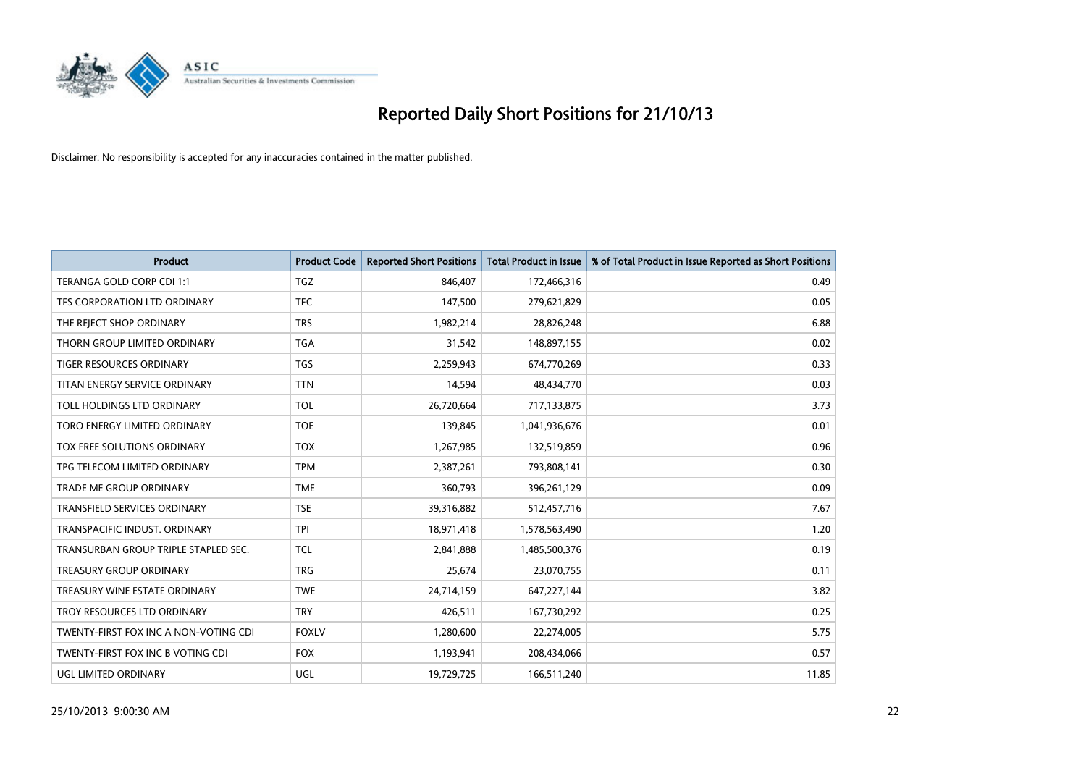

| <b>Product</b>                        | <b>Product Code</b> | <b>Reported Short Positions</b> | <b>Total Product in Issue</b> | % of Total Product in Issue Reported as Short Positions |
|---------------------------------------|---------------------|---------------------------------|-------------------------------|---------------------------------------------------------|
| TERANGA GOLD CORP CDI 1:1             | <b>TGZ</b>          | 846,407                         | 172,466,316                   | 0.49                                                    |
| TFS CORPORATION LTD ORDINARY          | <b>TFC</b>          | 147,500                         | 279,621,829                   | 0.05                                                    |
| THE REJECT SHOP ORDINARY              | <b>TRS</b>          | 1,982,214                       | 28,826,248                    | 6.88                                                    |
| THORN GROUP LIMITED ORDINARY          | <b>TGA</b>          | 31,542                          | 148,897,155                   | 0.02                                                    |
| <b>TIGER RESOURCES ORDINARY</b>       | TGS                 | 2,259,943                       | 674,770,269                   | 0.33                                                    |
| TITAN ENERGY SERVICE ORDINARY         | <b>TTN</b>          | 14,594                          | 48,434,770                    | 0.03                                                    |
| TOLL HOLDINGS LTD ORDINARY            | <b>TOL</b>          | 26,720,664                      | 717,133,875                   | 3.73                                                    |
| TORO ENERGY LIMITED ORDINARY          | <b>TOE</b>          | 139,845                         | 1,041,936,676                 | 0.01                                                    |
| TOX FREE SOLUTIONS ORDINARY           | <b>TOX</b>          | 1,267,985                       | 132,519,859                   | 0.96                                                    |
| TPG TELECOM LIMITED ORDINARY          | <b>TPM</b>          | 2,387,261                       | 793,808,141                   | 0.30                                                    |
| TRADE ME GROUP ORDINARY               | <b>TME</b>          | 360,793                         | 396,261,129                   | 0.09                                                    |
| TRANSFIELD SERVICES ORDINARY          | <b>TSE</b>          | 39,316,882                      | 512,457,716                   | 7.67                                                    |
| TRANSPACIFIC INDUST. ORDINARY         | <b>TPI</b>          | 18,971,418                      | 1,578,563,490                 | 1.20                                                    |
| TRANSURBAN GROUP TRIPLE STAPLED SEC.  | TCL                 | 2,841,888                       | 1,485,500,376                 | 0.19                                                    |
| TREASURY GROUP ORDINARY               | <b>TRG</b>          | 25,674                          | 23,070,755                    | 0.11                                                    |
| TREASURY WINE ESTATE ORDINARY         | <b>TWE</b>          | 24,714,159                      | 647,227,144                   | 3.82                                                    |
| TROY RESOURCES LTD ORDINARY           | <b>TRY</b>          | 426,511                         | 167,730,292                   | 0.25                                                    |
| TWENTY-FIRST FOX INC A NON-VOTING CDI | <b>FOXLV</b>        | 1,280,600                       | 22,274,005                    | 5.75                                                    |
| TWENTY-FIRST FOX INC B VOTING CDI     | <b>FOX</b>          | 1,193,941                       | 208,434,066                   | 0.57                                                    |
| UGL LIMITED ORDINARY                  | UGL                 | 19,729,725                      | 166,511,240                   | 11.85                                                   |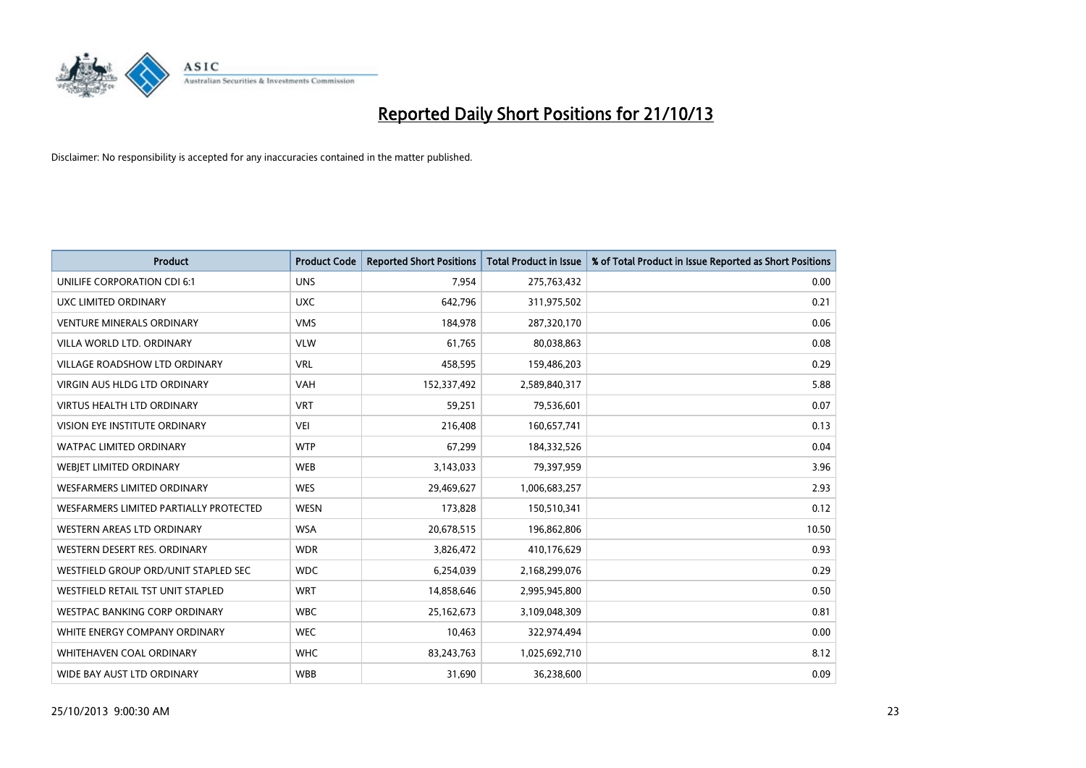

| <b>Product</b>                         | <b>Product Code</b> | <b>Reported Short Positions</b> | <b>Total Product in Issue</b> | % of Total Product in Issue Reported as Short Positions |
|----------------------------------------|---------------------|---------------------------------|-------------------------------|---------------------------------------------------------|
| UNILIFE CORPORATION CDI 6:1            | <b>UNS</b>          | 7,954                           | 275,763,432                   | 0.00                                                    |
| UXC LIMITED ORDINARY                   | <b>UXC</b>          | 642,796                         | 311,975,502                   | 0.21                                                    |
| <b>VENTURE MINERALS ORDINARY</b>       | <b>VMS</b>          | 184,978                         | 287,320,170                   | 0.06                                                    |
| VILLA WORLD LTD, ORDINARY              | <b>VLW</b>          | 61,765                          | 80,038,863                    | 0.08                                                    |
| <b>VILLAGE ROADSHOW LTD ORDINARY</b>   | <b>VRL</b>          | 458,595                         | 159,486,203                   | 0.29                                                    |
| <b>VIRGIN AUS HLDG LTD ORDINARY</b>    | <b>VAH</b>          | 152,337,492                     | 2,589,840,317                 | 5.88                                                    |
| <b>VIRTUS HEALTH LTD ORDINARY</b>      | <b>VRT</b>          | 59,251                          | 79,536,601                    | 0.07                                                    |
| <b>VISION EYE INSTITUTE ORDINARY</b>   | <b>VEI</b>          | 216,408                         | 160,657,741                   | 0.13                                                    |
| <b>WATPAC LIMITED ORDINARY</b>         | <b>WTP</b>          | 67,299                          | 184,332,526                   | 0.04                                                    |
| WEBIET LIMITED ORDINARY                | <b>WEB</b>          | 3,143,033                       | 79,397,959                    | 3.96                                                    |
| WESFARMERS LIMITED ORDINARY            | <b>WES</b>          | 29,469,627                      | 1,006,683,257                 | 2.93                                                    |
| WESFARMERS LIMITED PARTIALLY PROTECTED | <b>WESN</b>         | 173,828                         | 150,510,341                   | 0.12                                                    |
| WESTERN AREAS LTD ORDINARY             | <b>WSA</b>          | 20,678,515                      | 196,862,806                   | 10.50                                                   |
| WESTERN DESERT RES. ORDINARY           | <b>WDR</b>          | 3,826,472                       | 410,176,629                   | 0.93                                                    |
| WESTFIELD GROUP ORD/UNIT STAPLED SEC   | <b>WDC</b>          | 6,254,039                       | 2,168,299,076                 | 0.29                                                    |
| WESTFIELD RETAIL TST UNIT STAPLED      | <b>WRT</b>          | 14,858,646                      | 2,995,945,800                 | 0.50                                                    |
| <b>WESTPAC BANKING CORP ORDINARY</b>   | <b>WBC</b>          | 25,162,673                      | 3,109,048,309                 | 0.81                                                    |
| WHITE ENERGY COMPANY ORDINARY          | <b>WEC</b>          | 10,463                          | 322,974,494                   | 0.00                                                    |
| WHITEHAVEN COAL ORDINARY               | <b>WHC</b>          | 83,243,763                      | 1,025,692,710                 | 8.12                                                    |
| WIDE BAY AUST LTD ORDINARY             | <b>WBB</b>          | 31,690                          | 36,238,600                    | 0.09                                                    |